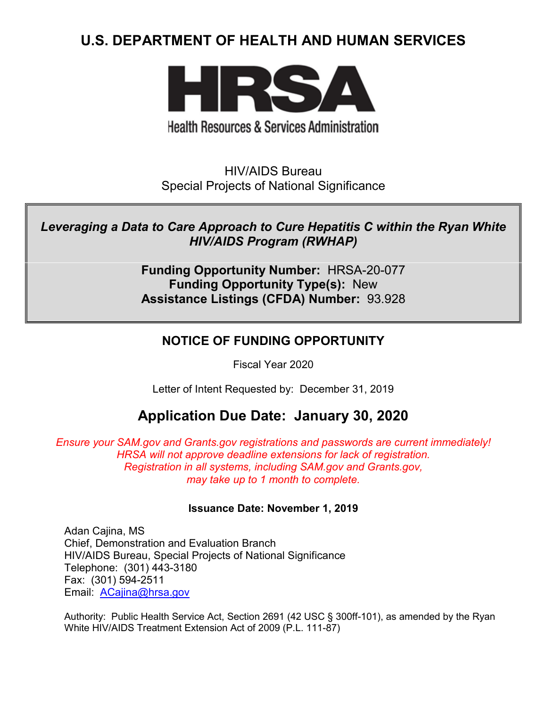# **U.S. DEPARTMENT OF HEALTH AND HUMAN SERVICES**



**Health Resources & Services Administration** 

HIV/AIDS Bureau Special Projects of National Significance

*Leveraging a Data to Care Approach to Cure Hepatitis C within the Ryan White HIV/AIDS Program (RWHAP)*

> **Funding Opportunity Number:** HRSA-20-077 **Funding Opportunity Type(s):** New **Assistance Listings (CFDA) Number:** 93.928

## **NOTICE OF FUNDING OPPORTUNITY**

Fiscal Year 2020

Letter of Intent Requested by: December 31, 2019

## **Application Due Date: January 30, 2020**

*Ensure your SAM.gov and Grants.gov registrations and passwords are current immediately! HRSA will not approve deadline extensions for lack of registration. Registration in all systems, including SAM.gov and Grants.gov, may take up to 1 month to complete.*

#### **Issuance Date: November 1, 2019**

Adan Cajina, MS Chief, Demonstration and Evaluation Branch HIV/AIDS Bureau, Special Projects of National Significance Telephone: (301) 443-3180 Fax: (301) 594-2511 Email: [ACajina@hrsa.gov](mailto:ACajina@hrsa.gov)

Authority: Public Health Service Act, Section 2691 (42 USC § 300ff-101), as amended by the Ryan White HIV/AIDS Treatment Extension Act of 2009 (P.L. 111-87)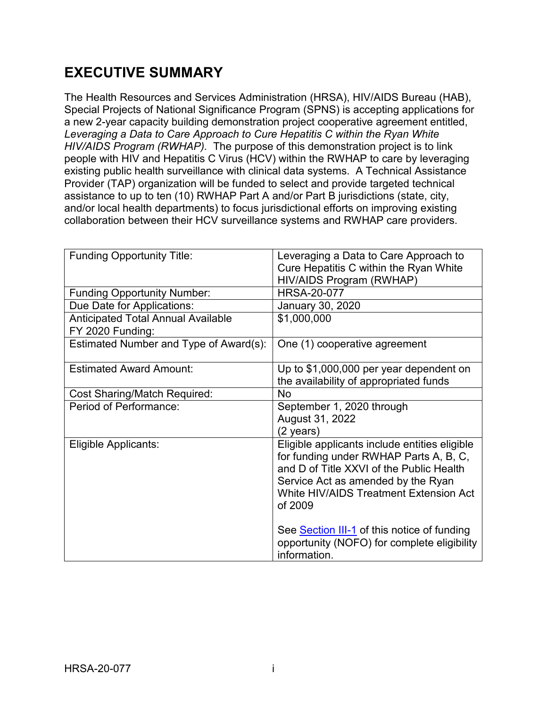# **EXECUTIVE SUMMARY**

The Health Resources and Services Administration (HRSA), HIV/AIDS Bureau (HAB), Special Projects of National Significance Program (SPNS) is accepting applications for a new 2-year capacity building demonstration project cooperative agreement entitled, *Leveraging a Data to Care Approach to Cure Hepatitis C within the Ryan White HIV/AIDS Program (RWHAP).* The purpose of this demonstration project is to link people with HIV and Hepatitis C Virus (HCV) within the RWHAP to care by leveraging existing public health surveillance with clinical data systems. A Technical Assistance Provider (TAP) organization will be funded to select and provide targeted technical assistance to up to ten (10) RWHAP Part A and/or Part B jurisdictions (state, city, and/or local health departments) to focus jurisdictional efforts on improving existing collaboration between their HCV surveillance systems and RWHAP care providers.

| <b>Funding Opportunity Title:</b>                             | Leveraging a Data to Care Approach to<br>Cure Hepatitis C within the Ryan White<br>HIV/AIDS Program (RWHAP)                                                                                                                    |
|---------------------------------------------------------------|--------------------------------------------------------------------------------------------------------------------------------------------------------------------------------------------------------------------------------|
| <b>Funding Opportunity Number:</b>                            | <b>HRSA-20-077</b>                                                                                                                                                                                                             |
| Due Date for Applications:                                    | January 30, 2020                                                                                                                                                                                                               |
| <b>Anticipated Total Annual Available</b><br>FY 2020 Funding: | \$1,000,000                                                                                                                                                                                                                    |
| Estimated Number and Type of Award(s):                        | One (1) cooperative agreement                                                                                                                                                                                                  |
| <b>Estimated Award Amount:</b>                                | Up to \$1,000,000 per year dependent on<br>the availability of appropriated funds                                                                                                                                              |
| <b>Cost Sharing/Match Required:</b>                           | <b>No</b>                                                                                                                                                                                                                      |
| Period of Performance:                                        | September 1, 2020 through<br>August 31, 2022<br>(2 years)                                                                                                                                                                      |
| Eligible Applicants:                                          | Eligible applicants include entities eligible<br>for funding under RWHAP Parts A, B, C,<br>and D of Title XXVI of the Public Health<br>Service Act as amended by the Ryan<br>White HIV/AIDS Treatment Extension Act<br>of 2009 |
|                                                               | See Section III-1 of this notice of funding<br>opportunity (NOFO) for complete eligibility<br>information.                                                                                                                     |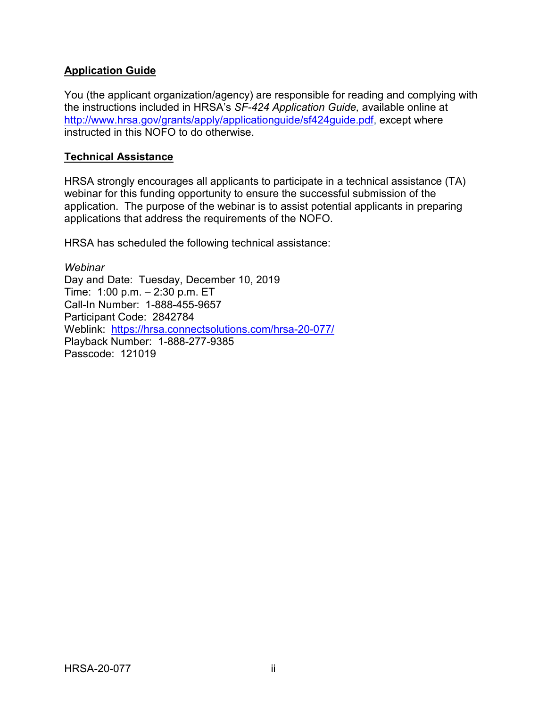#### **Application Guide**

You (the applicant organization/agency) are responsible for reading and complying with the instructions included in HRSA's *SF-424 Application Guide,* available online at [http://www.hrsa.gov/grants/apply/applicationguide/sf424guide.pdf,](http://www.hrsa.gov/grants/apply/applicationguide/sf424guide.pdf) except where instructed in this NOFO to do otherwise.

#### **Technical Assistance**

HRSA strongly encourages all applicants to participate in a technical assistance (TA) webinar for this funding opportunity to ensure the successful submission of the application. The purpose of the webinar is to assist potential applicants in preparing applications that address the requirements of the NOFO.

HRSA has scheduled the following technical assistance:

*Webinar* Day and Date: Tuesday, December 10, 2019 Time: 1:00 p.m. – 2:30 p.m. ET Call-In Number: 1-888-455-9657 Participant Code: 2842784 Weblink: <https://hrsa.connectsolutions.com/hrsa-20-077/> Playback Number: 1-888-277-9385 Passcode: 121019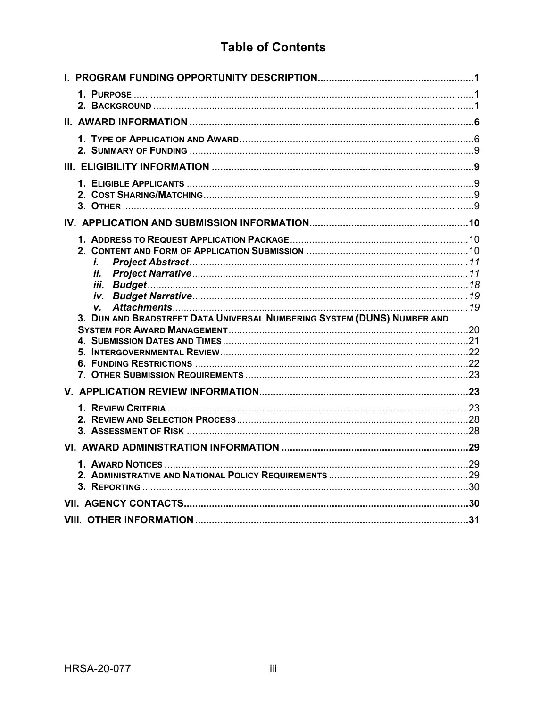# **Table of Contents**

| i.<br>ii.<br>3. DUN AND BRADSTREET DATA UNIVERSAL NUMBERING SYSTEM (DUNS) NUMBER AND |  |
|--------------------------------------------------------------------------------------|--|
|                                                                                      |  |
|                                                                                      |  |
|                                                                                      |  |
|                                                                                      |  |
|                                                                                      |  |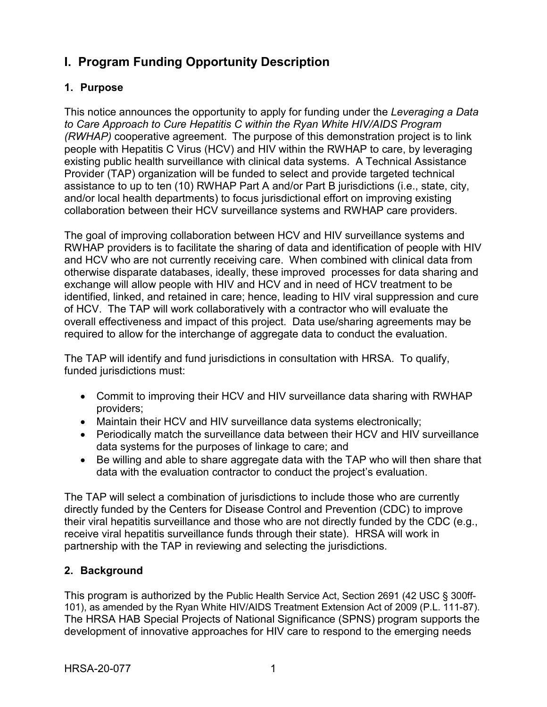## <span id="page-4-0"></span>**I. Program Funding Opportunity Description**

### <span id="page-4-1"></span>**1. Purpose**

This notice announces the opportunity to apply for funding under the *Leveraging a Data to Care Approach to Cure Hepatitis C within the Ryan White HIV/AIDS Program (RWHAP)* cooperative agreement. The purpose of this demonstration project is to link people with Hepatitis C Virus (HCV) and HIV within the RWHAP to care, by leveraging existing public health surveillance with clinical data systems. A Technical Assistance Provider (TAP) organization will be funded to select and provide targeted technical assistance to up to ten (10) RWHAP Part A and/or Part B jurisdictions (i.e., state, city, and/or local health departments) to focus jurisdictional effort on improving existing collaboration between their HCV surveillance systems and RWHAP care providers.

The goal of improving collaboration between HCV and HIV surveillance systems and RWHAP providers is to facilitate the sharing of data and identification of people with HIV and HCV who are not currently receiving care. When combined with clinical data from otherwise disparate databases, ideally, these improved processes for data sharing and exchange will allow people with HIV and HCV and in need of HCV treatment to be identified, linked, and retained in care; hence, leading to HIV viral suppression and cure of HCV. The TAP will work collaboratively with a contractor who will evaluate the overall effectiveness and impact of this project. Data use/sharing agreements may be required to allow for the interchange of aggregate data to conduct the evaluation.

The TAP will identify and fund jurisdictions in consultation with HRSA. To qualify, funded jurisdictions must:

- Commit to improving their HCV and HIV surveillance data sharing with RWHAP providers;
- Maintain their HCV and HIV surveillance data systems electronically;
- Periodically match the surveillance data between their HCV and HIV surveillance data systems for the purposes of linkage to care; and
- Be willing and able to share aggregate data with the TAP who will then share that data with the evaluation contractor to conduct the project's evaluation.

The TAP will select a combination of jurisdictions to include those who are currently directly funded by the Centers for Disease Control and Prevention (CDC) to improve their viral hepatitis surveillance and those who are not directly funded by the CDC (e.g., receive viral hepatitis surveillance funds through their state). HRSA will work in partnership with the TAP in reviewing and selecting the jurisdictions.

## <span id="page-4-2"></span>**2. Background**

This program is authorized by the Public Health Service Act, Section 2691 (42 USC § 300ff-101), as amended by the Ryan White HIV/AIDS Treatment Extension Act of 2009 (P.L. 111-87). The HRSA HAB Special Projects of National Significance (SPNS) program supports the development of innovative approaches for HIV care to respond to the emerging needs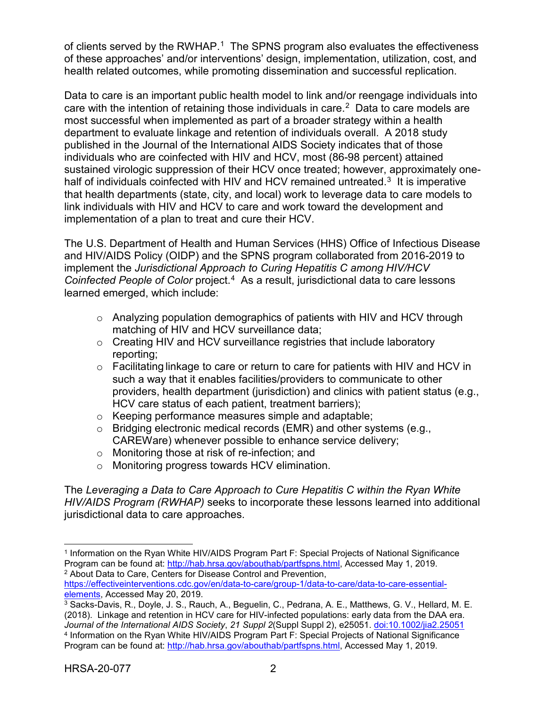of clients served by the RWHAP.<sup>[1](#page-5-0)</sup> The SPNS program also evaluates the effectiveness of these approaches' and/or interventions' design, implementation, utilization, cost, and health related outcomes, while promoting dissemination and successful replication.

Data to care is an important public health model to link and/or reengage individuals into care with the intention of retaining those individuals in care. [2](#page-5-1) Data to care models are most successful when implemented as part of a broader strategy within a health department to evaluate linkage and retention of individuals overall. A 2018 study published in the Journal of the International AIDS Society indicates that of those individuals who are coinfected with HIV and HCV, most (86-98 percent) attained sustained virologic suppression of their HCV once treated; however, approximately onehalf of individuals coinfected with HIV and HCV remained untreated.<sup>3</sup> It is imperative that health departments (state, city, and local) work to leverage data to care models to link individuals with HIV and HCV to care and work toward the development and implementation of a plan to treat and cure their HCV.

The U.S. Department of Health and Human Services (HHS) Office of Infectious Disease and HIV/AIDS Policy (OIDP) and the SPNS program collaborated from 2016-2019 to implement the *Jurisdictional Approach to Curing Hepatitis C among HIV/HCV Coinfected People of Color* project. [4](#page-5-3) As a result, jurisdictional data to care lessons learned emerged, which include:

- $\circ$  Analyzing population demographics of patients with HIV and HCV through matching of HIV and HCV surveillance data;
- $\circ$  Creating HIV and HCV surveillance registries that include laboratory reporting;
- $\circ$  Facilitating linkage to care or return to care for patients with HIV and HCV in such a way that it enables facilities/providers to communicate to other providers, health department (jurisdiction) and clinics with patient status (e.g., HCV care status of each patient, treatment barriers);
- o Keeping performance measures simple and adaptable;
- o Bridging electronic medical records (EMR) and other systems (e.g., CAREWare) whenever possible to enhance service delivery;
- o Monitoring those at risk of re-infection; and
- o Monitoring progress towards HCV elimination.

The *Leveraging a Data to Care Approach to Cure Hepatitis C within the Ryan White HIV/AIDS Program (RWHAP)* seeks to incorporate these lessons learned into additional jurisdictional data to care approaches.

<span id="page-5-0"></span> $\overline{a}$ <sup>1</sup> Information on the Ryan White HIV/AIDS Program Part F: Special Projects of National Significance Program can be found at: [http://hab.hrsa.gov/abouthab/partfspns.html,](http://hab.hrsa.gov/abouthab/partfspns.html) Accessed May 1, 2019. <sup>2</sup> About Data to Care, Centers for Disease Control and Prevention,

<span id="page-5-1"></span>[https://effectiveinterventions.cdc.gov/en/data-to-care/group-1/data-to-care/data-to-care-essential](https://effectiveinterventions.cdc.gov/en/data-to-care/group-1/data-to-care/data-to-care-essential-elements)[elements,](https://effectiveinterventions.cdc.gov/en/data-to-care/group-1/data-to-care/data-to-care-essential-elements) Accessed May 20, 2019.

<span id="page-5-3"></span><span id="page-5-2"></span><sup>3</sup> Sacks-Davis, R., Doyle, J. S., Rauch, A., Beguelin, C., Pedrana, A. E., Matthews, G. V., Hellard, M. E. (2018). Linkage and retention in HCV care for HIV-infected populations: early data from the DAA era. *Journal of the International AIDS Society*, *21 Suppl 2*(Suppl Suppl 2), e25051. [doi:10.1002/jia2.25051](https://www.ncbi.nlm.nih.gov/pmc/articles/PMC5978682/) <sup>4</sup> Information on the Ryan White HIV/AIDS Program Part F: Special Projects of National Significance Program can be found at: [http://hab.hrsa.gov/abouthab/partfspns.html,](http://hab.hrsa.gov/abouthab/partfspns.html) Accessed May 1, 2019.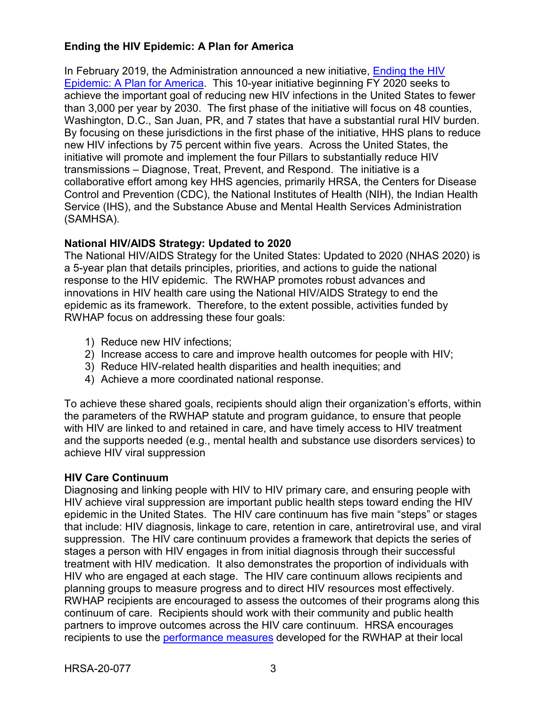### **Ending the HIV Epidemic: A Plan for America**

In February 2019, the Administration announced a new initiative, [Ending the HIV](https://www.hhs.gov/blog/2019/02/05/ending-the-hiv-epidemic-a-plan-for-america.html)  [Epidemic: A Plan for America.](https://www.hhs.gov/blog/2019/02/05/ending-the-hiv-epidemic-a-plan-for-america.html) This 10-year initiative beginning FY 2020 seeks to achieve the important goal of reducing new HIV infections in the United States to fewer than 3,000 per year by 2030. The first phase of the initiative will focus on 48 counties, Washington, D.C., San Juan, PR, and 7 states that have a substantial rural HIV burden. By focusing on these jurisdictions in the first phase of the initiative, HHS plans to reduce new HIV infections by 75 percent within five years. Across the United States, the initiative will promote and implement the four Pillars to substantially reduce HIV transmissions – Diagnose, Treat, Prevent, and Respond. The initiative is a collaborative effort among key HHS agencies, primarily HRSA, the Centers for Disease Control and Prevention (CDC), the National Institutes of Health (NIH), the Indian Health Service (IHS), and the Substance Abuse and Mental Health Services Administration (SAMHSA).

#### **National HIV/AIDS Strategy: Updated to 2020**

The National HIV/AIDS Strategy for the United States: Updated to 2020 (NHAS 2020) is a 5-year plan that details principles, priorities, and actions to guide the national response to the HIV epidemic. The RWHAP promotes robust advances and innovations in HIV health care using the National HIV/AIDS Strategy to end the epidemic as its framework. Therefore, to the extent possible, activities funded by RWHAP focus on addressing these four goals:

- 1) Reduce new HIV infections;
- 2) Increase access to care and improve health outcomes for people with HIV;
- 3) Reduce HIV-related health disparities and health inequities; and
- 4) Achieve a more coordinated national response.

To achieve these shared goals, recipients should align their organization's efforts, within the parameters of the RWHAP statute and program guidance, to ensure that people with HIV are linked to and retained in care, and have timely access to HIV treatment and the supports needed (e.g., mental health and substance use disorders services) to achieve HIV viral suppression

#### **HIV Care Continuum**

Diagnosing and linking people with HIV to HIV primary care, and ensuring people with HIV achieve viral suppression are important public health steps toward ending the HIV epidemic in the United States. The HIV care continuum has five main "steps" or stages that include: HIV diagnosis, linkage to care, retention in care, antiretroviral use, and viral suppression. The HIV care continuum provides a framework that depicts the series of stages a person with HIV engages in from initial diagnosis through their successful treatment with HIV medication. It also demonstrates the proportion of individuals with HIV who are engaged at each stage. The HIV care continuum allows recipients and planning groups to measure progress and to direct HIV resources most effectively. RWHAP recipients are encouraged to assess the outcomes of their programs along this continuum of care. Recipients should work with their community and public health partners to improve outcomes across the HIV care continuum. HRSA encourages recipients to use the [performance measures](http://hab.hrsa.gov/deliverhivaidscare/habperformmeasures.html) developed for the RWHAP at their local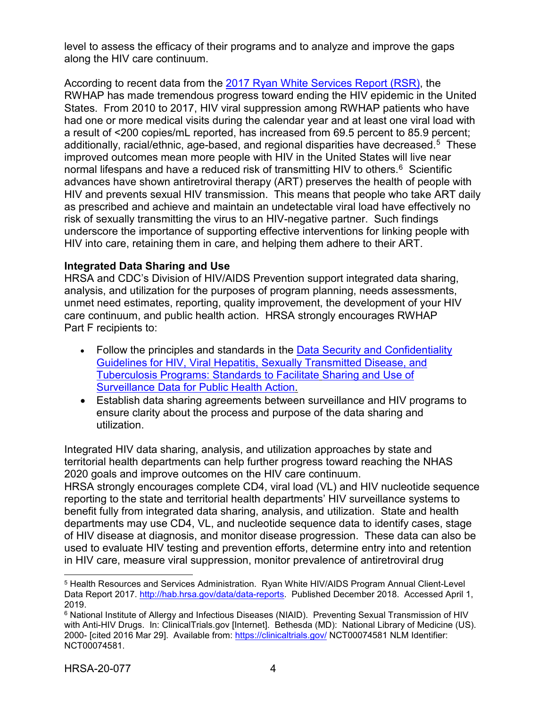level to assess the efficacy of their programs and to analyze and improve the gaps along the HIV care continuum.

According to recent data from the [2017 Ryan White Services Report \(RSR\)](https://hab.hrsa.gov/sites/default/files/hab/data/datareports/RWHAP-annual-client-level-data-report-2017.pdf), the RWHAP has made tremendous progress toward ending the HIV epidemic in the United States. From 2010 to 2017, HIV viral suppression among RWHAP patients who have had one or more medical visits during the calendar year and at least one viral load with a result of <200 copies/mL reported, has increased from 69.5 percent to 85.9 percent; additionally, racial/ethnic, age-based, and regional disparities have decreased.<sup>[5](#page-7-0)</sup> These improved outcomes mean more people with HIV in the United States will live near normal lifespans and have a reduced risk of transmitting HIV to others.<sup>[6](#page-7-1)</sup> Scientific advances have shown antiretroviral therapy (ART) preserves the health of people with HIV and prevents sexual HIV transmission. This means that people who take ART daily as prescribed and achieve and maintain an undetectable viral load have effectively no risk of sexually transmitting the virus to an HIV-negative partner. Such findings underscore the importance of supporting effective interventions for linking people with HIV into care, retaining them in care, and helping them adhere to their ART.

#### **Integrated Data Sharing and Use**

HRSA and CDC's Division of HIV/AIDS Prevention support integrated data sharing, analysis, and utilization for the purposes of program planning, needs assessments, unmet need estimates, reporting, quality improvement, the development of your HIV care continuum, and public health action. HRSA strongly encourages RWHAP Part F recipients to:

- Follow the principles and standards in the Data Security and Confidentiality [Guidelines for HIV, Viral](http://www.cdc.gov/nchhstp/programintegration/docs/pcsidatasecurityguidelines.pdf) [Hepatitis, Sexually Transmitted Disease, and](http://www.cdc.gov/nchhstp/programintegration/docs/pcsidatasecurityguidelines.pdf)  [Tuberculosis Programs: Standards to Facilitate](http://www.cdc.gov/nchhstp/programintegration/docs/pcsidatasecurityguidelines.pdf) [Sharing and Use of](http://www.cdc.gov/nchhstp/programintegration/docs/pcsidatasecurityguidelines.pdf)  [Surveillance Data for Public Health Action.](http://www.cdc.gov/nchhstp/programintegration/docs/pcsidatasecurityguidelines.pdf)
- Establish data sharing agreements between surveillance and HIV programs to ensure clarity about the process and purpose of the data sharing and utilization.

Integrated HIV data sharing, analysis, and utilization approaches by state and territorial health departments can help further progress toward reaching the NHAS 2020 goals and improve outcomes on the HIV care continuum.

HRSA strongly encourages complete CD4, viral load (VL) and HIV nucleotide sequence reporting to the state and territorial health departments' HIV surveillance systems to benefit fully from integrated data sharing, analysis, and utilization. State and health departments may use CD4, VL, and nucleotide sequence data to identify cases, stage of HIV disease at diagnosis, and monitor disease progression. These data can also be used to evaluate HIV testing and prevention efforts, determine entry into and retention in HIV care, measure viral suppression, monitor prevalence of antiretroviral drug

<span id="page-7-0"></span> $\overline{a}$ <sup>5</sup> Health Resources and Services Administration. Ryan White HIV/AIDS Program Annual Client-Level Data Report 2017. [http://hab.hrsa.gov/data/data-reports.](http://hab.hrsa.gov/data/data-reports) Published December 2018. Accessed April 1, 2019.

<span id="page-7-1"></span><sup>6</sup> National Institute of Allergy and Infectious Diseases (NIAID). Preventing Sexual Transmission of HIV with Anti-HIV Drugs. In: ClinicalTrials.gov [Internet]. Bethesda (MD): National Library of Medicine (US). 2000- [cited 2016 Mar 29]. Available from:<https://clinicaltrials.gov/> NCT00074581 NLM Identifier: NCT00074581.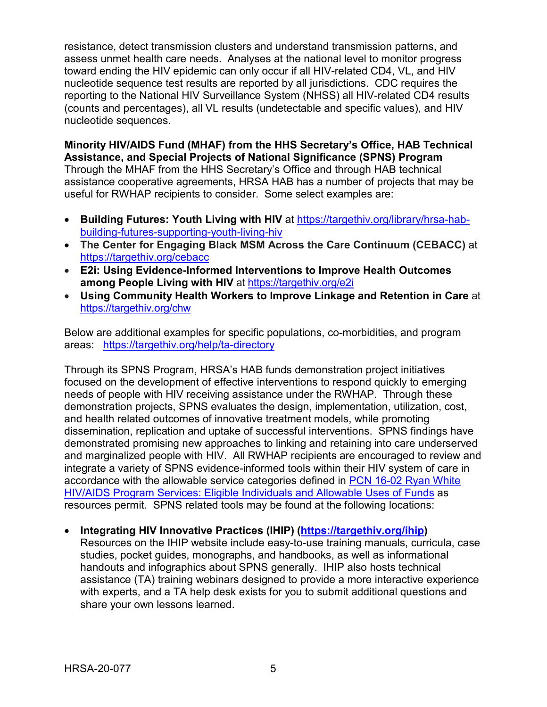resistance, detect transmission clusters and understand transmission patterns, and assess unmet health care needs. Analyses at the national level to monitor progress toward ending the HIV epidemic can only occur if all HIV-related CD4, VL, and HIV nucleotide sequence test results are reported by all jurisdictions. CDC requires the reporting to the National HIV Surveillance System (NHSS) all HIV-related CD4 results (counts and percentages), all VL results (undetectable and specific values), and HIV nucleotide sequences.

**Minority HIV/AIDS Fund (MHAF) from the HHS Secretary's Office, HAB Technical Assistance, and Special Projects of National Significance (SPNS) Program**

Through the MHAF from the HHS Secretary's Office and through HAB technical assistance cooperative agreements, HRSA HAB has a number of projects that may be useful for RWHAP recipients to consider. Some select examples are:

- **Building Futures: Youth Living with HIV** at [https://targethiv.org/library/hrsa-hab](https://targethiv.org/library/hrsa-hab-building-futures-supporting-youth-living-hiv)[building-futures-supporting-youth-living-hiv](https://targethiv.org/library/hrsa-hab-building-futures-supporting-youth-living-hiv)
- **The Center for Engaging Black MSM Across the Care Continuum (CEBACC)** at <https://targethiv.org/cebacc>
- **E2i: Using Evidence-Informed Interventions to Improve Health Outcomes among People Living with HIV** at<https://targethiv.org/e2i>
- **Using Community Health Workers to Improve Linkage and Retention in Care** at <https://targethiv.org/chw>

Below are additional examples for specific populations, co-morbidities, and program areas: <https://targethiv.org/help/ta-directory>

Through its SPNS Program, HRSA's HAB funds demonstration project initiatives focused on the development of effective interventions to respond quickly to emerging needs of people with HIV receiving assistance under the RWHAP. Through these demonstration projects, SPNS evaluates the design, implementation, utilization, cost, and health related outcomes of innovative treatment models, while promoting dissemination, replication and uptake of successful interventions. SPNS findings have demonstrated promising new approaches to linking and retaining into care underserved and marginalized people with HIV. All RWHAP recipients are encouraged to review and integrate a variety of SPNS evidence-informed tools within their HIV system of care in accordance with the allowable service categories defined in [PCN 16-02 Ryan White](https://hab.hrsa.gov/sites/default/files/hab/program-grants-management/ServiceCategoryPCN_16-02Final.pdf)  [HIV/AIDS Program Services: Eligible Individuals and Allowable Uses of Funds](https://hab.hrsa.gov/sites/default/files/hab/program-grants-management/ServiceCategoryPCN_16-02Final.pdf) as resources permit. SPNS related tools may be found at the following locations:

• **Integrating HIV Innovative Practices (IHIP) [\(https://targethiv.org/ihip\)](https://targethiv.org/ihip)** 

Resources on the IHIP website include easy-to-use training manuals, curricula, case studies, pocket guides, monographs, and handbooks, as well as informational handouts and infographics about SPNS generally. IHIP also hosts technical assistance (TA) training webinars designed to provide a more interactive experience with experts, and a TA help desk exists for you to submit additional questions and share your own lessons learned.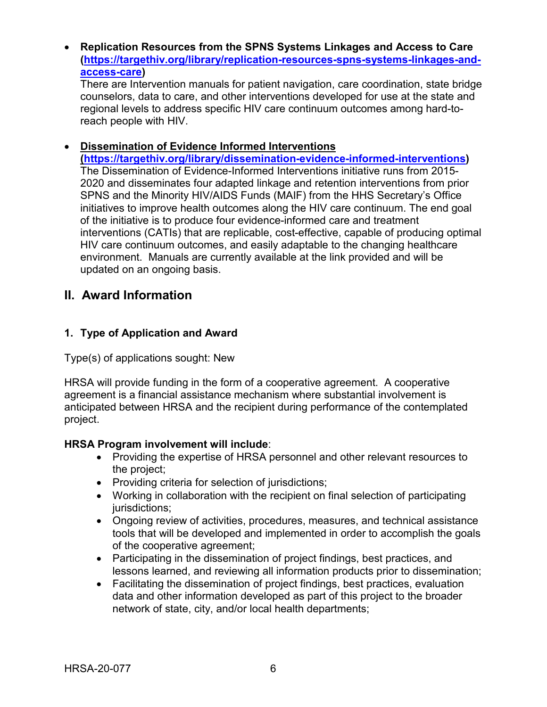#### • **Replication Resources from the SPNS Systems Linkages and Access to Care [\(https://targethiv.org/library/replication-resources-spns-systems-linkages-and](https://targethiv.org/library/replication-resources-spns-systems-linkages-and-access-care)[access-care\)](https://targethiv.org/library/replication-resources-spns-systems-linkages-and-access-care)**

There are Intervention manuals for patient navigation, care coordination, state bridge counselors, data to care, and other interventions developed for use at the state and regional levels to address specific HIV care continuum outcomes among hard-toreach people with HIV.

#### • **Dissemination of Evidence Informed Interventions**

**[\(https://targethiv.org/library/dissemination-evidence-informed-interventions\)](https://targethiv.org/library/dissemination-evidence-informed-interventions)** The Dissemination of Evidence-Informed Interventions initiative runs from 2015- 2020 and disseminates four adapted linkage and retention interventions from prior SPNS and the Minority HIV/AIDS Funds (MAIF) from the HHS Secretary's Office initiatives to improve health outcomes along the HIV care continuum. The end goal of the initiative is to produce four evidence-informed care and treatment interventions (CATIs) that are replicable, cost-effective, capable of producing optimal HIV care continuum outcomes, and easily adaptable to the changing healthcare environment. Manuals are currently available at the link provided and will be updated on an ongoing basis.

## <span id="page-9-0"></span>**II. Award Information**

#### <span id="page-9-1"></span>**1. Type of Application and Award**

Type(s) of applications sought: New

HRSA will provide funding in the form of a cooperative agreement. A cooperative agreement is a financial assistance mechanism where substantial involvement is anticipated between HRSA and the recipient during performance of the contemplated project.

#### **HRSA Program involvement will include**:

- Providing the expertise of HRSA personnel and other relevant resources to the project;
- Providing criteria for selection of jurisdictions;
- Working in collaboration with the recipient on final selection of participating jurisdictions;
- Ongoing review of activities, procedures, measures, and technical assistance tools that will be developed and implemented in order to accomplish the goals of the cooperative agreement;
- Participating in the dissemination of project findings, best practices, and lessons learned, and reviewing all information products prior to dissemination;
- Facilitating the dissemination of project findings, best practices, evaluation data and other information developed as part of this project to the broader network of state, city, and/or local health departments;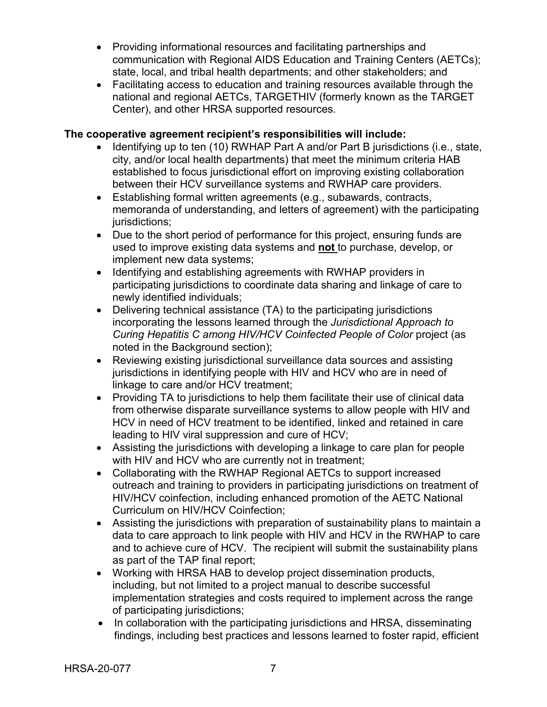- Providing informational resources and facilitating partnerships and communication with Regional AIDS Education and Training Centers (AETCs); state, local, and tribal health departments; and other stakeholders; and
- Facilitating access to education and training resources available through the national and regional AETCs, TARGETHIV (formerly known as the TARGET Center), and other HRSA supported resources.

#### **The cooperative agreement recipient's responsibilities will include:**

- Identifying up to ten (10) RWHAP Part A and/or Part B jurisdictions (i.e., state, city, and/or local health departments) that meet the minimum criteria HAB established to focus jurisdictional effort on improving existing collaboration between their HCV surveillance systems and RWHAP care providers.
- Establishing formal written agreements (e.g., subawards, contracts, memoranda of understanding, and letters of agreement) with the participating jurisdictions:
- Due to the short period of performance for this project, ensuring funds are used to improve existing data systems and **not** to purchase, develop, or implement new data systems;
- Identifying and establishing agreements with RWHAP providers in participating jurisdictions to coordinate data sharing and linkage of care to newly identified individuals;
- Delivering technical assistance (TA) to the participating jurisdictions incorporating the lessons learned through the *Jurisdictional Approach to Curing Hepatitis C among HIV/HCV Coinfected People of Color* project (as noted in the Background section);
- Reviewing existing jurisdictional surveillance data sources and assisting jurisdictions in identifying people with HIV and HCV who are in need of linkage to care and/or HCV treatment;
- Providing TA to jurisdictions to help them facilitate their use of clinical data from otherwise disparate surveillance systems to allow people with HIV and HCV in need of HCV treatment to be identified, linked and retained in care leading to HIV viral suppression and cure of HCV;
- Assisting the jurisdictions with developing a linkage to care plan for people with HIV and HCV who are currently not in treatment;
- Collaborating with the RWHAP Regional AETCs to support increased outreach and training to providers in participating jurisdictions on treatment of HIV/HCV coinfection, including enhanced promotion of the AETC National Curriculum on HIV/HCV Coinfection;
- Assisting the jurisdictions with preparation of sustainability plans to maintain a data to care approach to link people with HIV and HCV in the RWHAP to care and to achieve cure of HCV. The recipient will submit the sustainability plans as part of the TAP final report;
- Working with HRSA HAB to develop project dissemination products, including, but not limited to a project manual to describe successful implementation strategies and costs required to implement across the range of participating jurisdictions;
- In collaboration with the participating jurisdictions and HRSA, disseminating findings, including best practices and lessons learned to foster rapid, efficient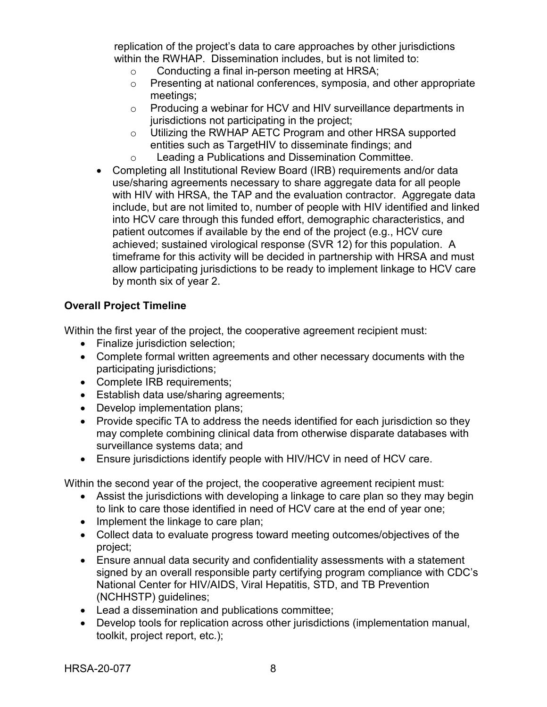replication of the project's data to care approaches by other jurisdictions within the RWHAP. Dissemination includes, but is not limited to:

- $\circ$  Conducting a final in-person meeting at HRSA;<br> $\circ$  Presenting at national conferences, symposia, are
- Presenting at national conferences, symposia, and other appropriate meetings;
- o Producing a webinar for HCV and HIV surveillance departments in jurisdictions not participating in the project;
- o Utilizing the RWHAP AETC Program and other HRSA supported entities such as TargetHIV to disseminate findings; and
- o Leading a Publications and Dissemination Committee.
- Completing all Institutional Review Board (IRB) requirements and/or data use/sharing agreements necessary to share aggregate data for all people with HIV with HRSA, the TAP and the evaluation contractor. Aggregate data include, but are not limited to, number of people with HIV identified and linked into HCV care through this funded effort, demographic characteristics, and patient outcomes if available by the end of the project (e.g., HCV cure achieved; sustained virological response (SVR 12) for this population. A timeframe for this activity will be decided in partnership with HRSA and must allow participating jurisdictions to be ready to implement linkage to HCV care by month six of year 2.

## **Overall Project Timeline**

Within the first year of the project, the cooperative agreement recipient must:

- Finalize jurisdiction selection;
- Complete formal written agreements and other necessary documents with the participating jurisdictions;
- Complete IRB requirements;
- Establish data use/sharing agreements;
- Develop implementation plans;
- Provide specific TA to address the needs identified for each jurisdiction so they may complete combining clinical data from otherwise disparate databases with surveillance systems data; and
- Ensure jurisdictions identify people with HIV/HCV in need of HCV care.

Within the second year of the project, the cooperative agreement recipient must:

- Assist the jurisdictions with developing a linkage to care plan so they may begin to link to care those identified in need of HCV care at the end of year one;
- Implement the linkage to care plan;
- Collect data to evaluate progress toward meeting outcomes/objectives of the project;
- Ensure annual data security and confidentiality assessments with a statement signed by an overall responsible party certifying program compliance with CDC's National Center for HIV/AIDS, Viral Hepatitis, STD, and TB Prevention (NCHHSTP) guidelines;
- Lead a dissemination and publications committee;
- Develop tools for replication across other jurisdictions (implementation manual, toolkit, project report, etc.);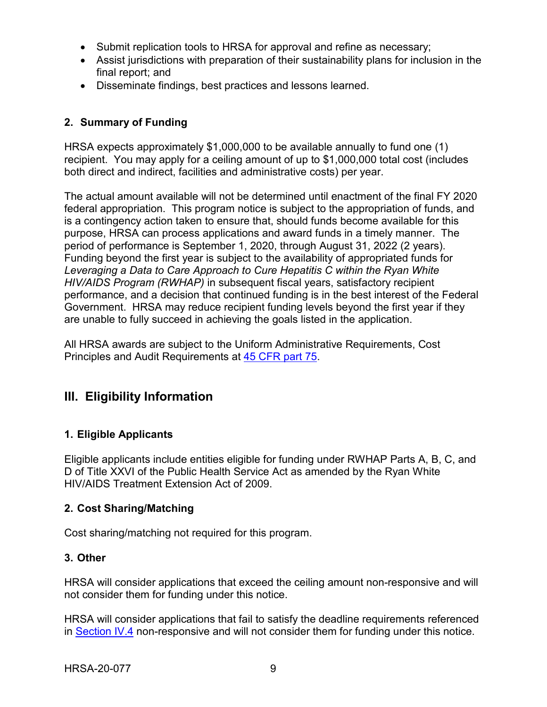- Submit replication tools to HRSA for approval and refine as necessary;
- Assist jurisdictions with preparation of their sustainability plans for inclusion in the final report; and
- Disseminate findings, best practices and lessons learned.

## <span id="page-12-1"></span>**2. Summary of Funding**

HRSA expects approximately \$1,000,000 to be available annually to fund one (1) recipient. You may apply for a ceiling amount of up to \$1,000,000 total cost (includes both direct and indirect, facilities and administrative costs) per year.

The actual amount available will not be determined until enactment of the final FY 2020 federal appropriation. This program notice is subject to the appropriation of funds, and is a contingency action taken to ensure that, should funds become available for this purpose, HRSA can process applications and award funds in a timely manner. The period of performance is September 1, 2020, through August 31, 2022 (2 years). Funding beyond the first year is subject to the availability of appropriated funds for *Leveraging a Data to Care Approach to Cure Hepatitis C within the Ryan White HIV/AIDS Program (RWHAP)* in subsequent fiscal years, satisfactory recipient performance, and a decision that continued funding is in the best interest of the Federal Government. HRSA may reduce recipient funding levels beyond the first year if they are unable to fully succeed in achieving the goals listed in the application.

All HRSA awards are subject to the Uniform Administrative Requirements, Cost Principles and Audit Requirements at [45 CFR part 75.](http://www.ecfr.gov/cgi-bin/retrieveECFR?gp=1&SID=4d52364ec83fab994c665943dadf9cf7&ty=HTML&h=L&r=PART&n=pt45.1.75)

## <span id="page-12-2"></span>**III. Eligibility Information**

## <span id="page-12-0"></span>**1. Eligible Applicants**

Eligible applicants include entities eligible for funding under RWHAP Parts A, B, C, and D of Title XXVI of the Public Health Service Act as amended by the Ryan White HIV/AIDS Treatment Extension Act of 2009.

#### <span id="page-12-3"></span>**2. Cost Sharing/Matching**

Cost sharing/matching not required for this program.

#### <span id="page-12-4"></span>**3. Other**

HRSA will consider applications that exceed the ceiling amount non-responsive and will not consider them for funding under this notice.

HRSA will consider applications that fail to satisfy the deadline requirements referenced in [Section IV.4](#page-24-0) non-responsive and will not consider them for funding under this notice.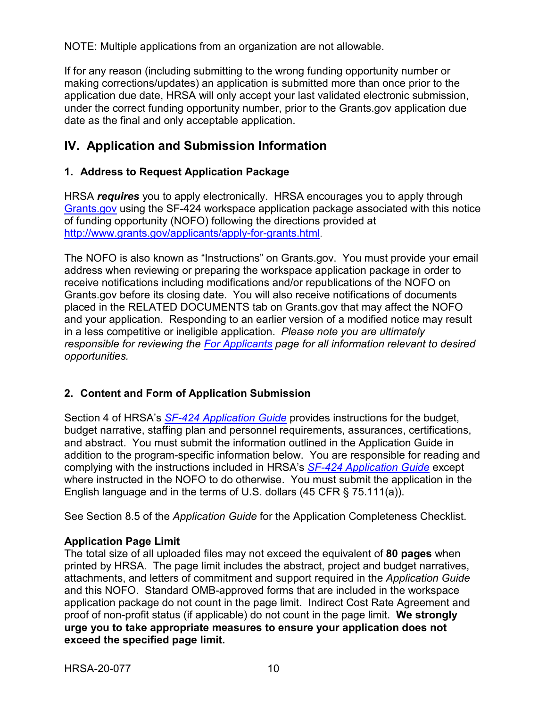NOTE: Multiple applications from an organization are not allowable.

If for any reason (including submitting to the wrong funding opportunity number or making corrections/updates) an application is submitted more than once prior to the application due date, HRSA will only accept your last validated electronic submission, under the correct funding opportunity number, prior to the Grants.gov application due date as the final and only acceptable application.

## <span id="page-13-0"></span>**IV. Application and Submission Information**

### <span id="page-13-1"></span>**1. Address to Request Application Package**

HRSA *requires* you to apply electronically. HRSA encourages you to apply through [Grants.gov](https://www.grants.gov/) using the SF-424 workspace application package associated with this notice of funding opportunity (NOFO) following the directions provided at [http://www.grants.gov/applicants/apply-for-grants.html.](http://www.grants.gov/applicants/apply-for-grants.html)

The NOFO is also known as "Instructions" on Grants.gov. You must provide your email address when reviewing or preparing the workspace application package in order to receive notifications including modifications and/or republications of the NOFO on Grants.gov before its closing date. You will also receive notifications of documents placed in the RELATED DOCUMENTS tab on Grants.gov that may affect the NOFO and your application. Responding to an earlier version of a modified notice may result in a less competitive or ineligible application. *Please note you are ultimately responsible for reviewing the [For Applicants](https://www.grants.gov/web/grants/applicants.html) page for all information relevant to desired opportunities.*

#### <span id="page-13-2"></span>**2. Content and Form of Application Submission**

Section 4 of HRSA's *SF-424 [Application Guide](http://www.hrsa.gov/grants/apply/applicationguide/sf424guide.pdf)* provides instructions for the budget, budget narrative, staffing plan and personnel requirements, assurances, certifications, and abstract. You must submit the information outlined in the Application Guide in addition to the program-specific information below. You are responsible for reading and complying with the instructions included in HRSA's *SF-424 [Application Guide](http://www.hrsa.gov/grants/apply/applicationguide/sf424guide.pdf)* except where instructed in the NOFO to do otherwise. You must submit the application in the English language and in the terms of U.S. dollars (45 CFR § 75.111(a)).

See Section 8.5 of the *Application Guide* for the Application Completeness Checklist.

#### **Application Page Limit**

The total size of all uploaded files may not exceed the equivalent of **80 pages** when printed by HRSA. The page limit includes the abstract, project and budget narratives, attachments, and letters of commitment and support required in the *Application Guide* and this NOFO. Standard OMB-approved forms that are included in the workspace application package do not count in the page limit. Indirect Cost Rate Agreement and proof of non-profit status (if applicable) do not count in the page limit. **We strongly urge you to take appropriate measures to ensure your application does not exceed the specified page limit.**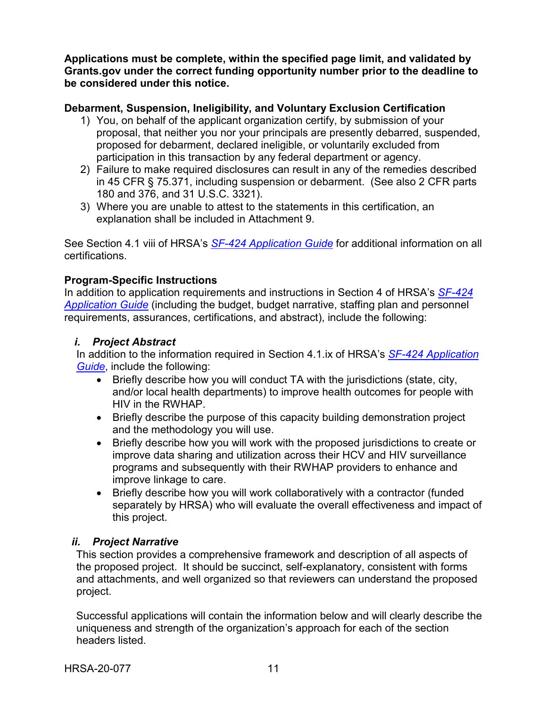**Applications must be complete, within the specified page limit, and validated by Grants.gov under the correct funding opportunity number prior to the deadline to be considered under this notice.**

#### **Debarment, Suspension, Ineligibility, and Voluntary Exclusion Certification**

- 1) You, on behalf of the applicant organization certify, by submission of your proposal, that neither you nor your principals are presently debarred, suspended, proposed for debarment, declared ineligible, or voluntarily excluded from participation in this transaction by any federal department or agency.
- 2) Failure to make required disclosures can result in any of the remedies described in 45 CFR § 75.371, including suspension or debarment. (See also 2 CFR parts 180 and 376, and 31 U.S.C. 3321).
- 3) Where you are unable to attest to the statements in this certification, an explanation shall be included in Attachment 9.

See Section 4.1 viii of HRSA's *SF-424 [Application Guide](http://www.hrsa.gov/grants/apply/applicationguide/sf424guide.pdf)* for additional information on all certifications.

#### **Program-Specific Instructions**

In addition to application requirements and instructions in Section 4 of HRSA's *[SF-424](http://www.hrsa.gov/grants/apply/applicationguide/sf424guide.pdf) [Application Guide](http://www.hrsa.gov/grants/apply/applicationguide/sf424guide.pdf)* (including the budget, budget narrative, staffing plan and personnel requirements, assurances, certifications, and abstract), include the following:

#### <span id="page-14-0"></span>*i. Project Abstract*

In addition to the information required in Section 4.1.ix of HRSA's *SF-424 [Application](http://www.hrsa.gov/grants/apply/applicationguide/sf424guide.pdf)  [Guide](http://www.hrsa.gov/grants/apply/applicationguide/sf424guide.pdf)*, include the following:

- Briefly describe how you will conduct TA with the jurisdictions (state, city, and/or local health departments) to improve health outcomes for people with HIV in the RWHAP.
- Briefly describe the purpose of this capacity building demonstration project and the methodology you will use.
- Briefly describe how you will work with the proposed jurisdictions to create or improve data sharing and utilization across their HCV and HIV surveillance programs and subsequently with their RWHAP providers to enhance and improve linkage to care.
- Briefly describe how you will work collaboratively with a contractor (funded separately by HRSA) who will evaluate the overall effectiveness and impact of this project.

#### <span id="page-14-1"></span>*ii. Project Narrative*

This section provides a comprehensive framework and description of all aspects of the proposed project. It should be succinct, self-explanatory, consistent with forms and attachments, and well organized so that reviewers can understand the proposed project.

Successful applications will contain the information below and will clearly describe the uniqueness and strength of the organization's approach for each of the section headers listed.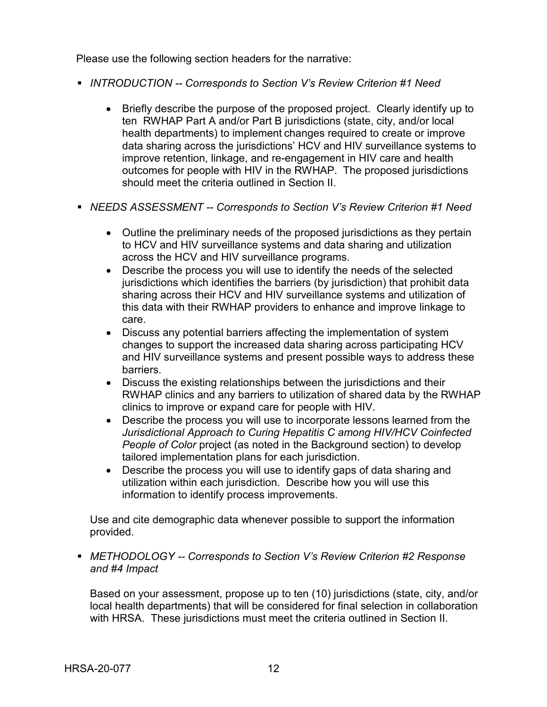Please use the following section headers for the narrative:

- *INTRODUCTION -- Corresponds to Section V's Review Criterion #1 Need*
	- Briefly describe the purpose of the proposed project. Clearly identify up to ten RWHAP Part A and/or Part B jurisdictions (state, city, and/or local health departments) to implement changes required to create or improve data sharing across the jurisdictions' HCV and HIV surveillance systems to improve retention, linkage, and re-engagement in HIV care and health outcomes for people with HIV in the RWHAP. The proposed jurisdictions should meet the criteria outlined in Section II.
- *NEEDS ASSESSMENT -- Corresponds to Section V's Review Criterion #1 Need*
	- Outline the preliminary needs of the proposed jurisdictions as they pertain to HCV and HIV surveillance systems and data sharing and utilization across the HCV and HIV surveillance programs.
	- Describe the process you will use to identify the needs of the selected jurisdictions which identifies the barriers (by jurisdiction) that prohibit data sharing across their HCV and HIV surveillance systems and utilization of this data with their RWHAP providers to enhance and improve linkage to care.
	- Discuss any potential barriers affecting the implementation of system changes to support the increased data sharing across participating HCV and HIV surveillance systems and present possible ways to address these barriers.
	- Discuss the existing relationships between the jurisdictions and their RWHAP clinics and any barriers to utilization of shared data by the RWHAP clinics to improve or expand care for people with HIV.
	- Describe the process you will use to incorporate lessons learned from the *Jurisdictional Approach to Curing Hepatitis C among HIV/HCV Coinfected People of Color* project (as noted in the Background section) to develop tailored implementation plans for each jurisdiction.
	- Describe the process you will use to identify gaps of data sharing and utilization within each jurisdiction. Describe how you will use this information to identify process improvements.

Use and cite demographic data whenever possible to support the information provided.

 *METHODOLOGY -- Corresponds to Section V's Review Criterion #2 Response and #4 Impact*

Based on your assessment, propose up to ten (10) jurisdictions (state, city, and/or local health departments) that will be considered for final selection in collaboration with HRSA. These jurisdictions must meet the criteria outlined in Section II.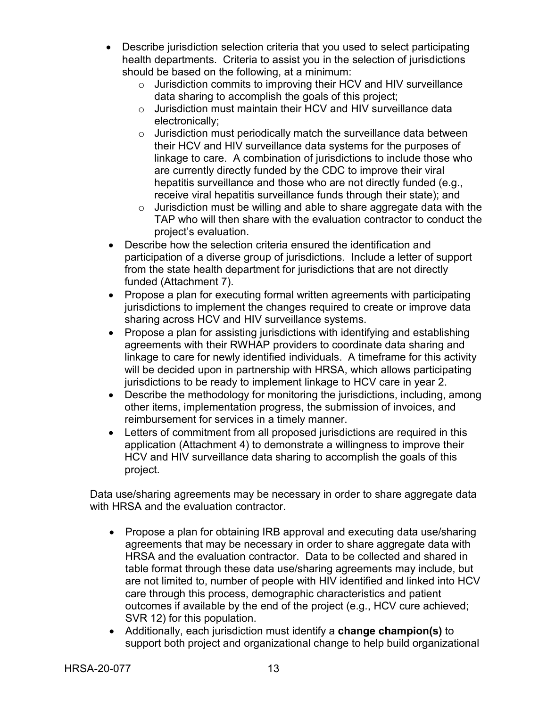- Describe jurisdiction selection criteria that you used to select participating health departments. Criteria to assist you in the selection of jurisdictions should be based on the following, at a minimum:
	- $\circ$  Jurisdiction commits to improving their HCV and HIV surveillance data sharing to accomplish the goals of this project;
	- o Jurisdiction must maintain their HCV and HIV surveillance data electronically;
	- $\circ$  Jurisdiction must periodically match the surveillance data between their HCV and HIV surveillance data systems for the purposes of linkage to care. A combination of jurisdictions to include those who are currently directly funded by the CDC to improve their viral hepatitis surveillance and those who are not directly funded (e.g., receive viral hepatitis surveillance funds through their state); and
	- $\circ$  Jurisdiction must be willing and able to share aggregate data with the TAP who will then share with the evaluation contractor to conduct the project's evaluation.
- Describe how the selection criteria ensured the identification and participation of a diverse group of jurisdictions. Include a letter of support from the state health department for jurisdictions that are not directly funded (Attachment 7).
- Propose a plan for executing formal written agreements with participating jurisdictions to implement the changes required to create or improve data sharing across HCV and HIV surveillance systems.
- Propose a plan for assisting jurisdictions with identifying and establishing agreements with their RWHAP providers to coordinate data sharing and linkage to care for newly identified individuals. A timeframe for this activity will be decided upon in partnership with HRSA, which allows participating jurisdictions to be ready to implement linkage to HCV care in year 2.
- Describe the methodology for monitoring the jurisdictions, including, among other items, implementation progress, the submission of invoices, and reimbursement for services in a timely manner.
- Letters of commitment from all proposed jurisdictions are required in this application (Attachment 4) to demonstrate a willingness to improve their HCV and HIV surveillance data sharing to accomplish the goals of this project.

Data use/sharing agreements may be necessary in order to share aggregate data with HRSA and the evaluation contractor.

- Propose a plan for obtaining IRB approval and executing data use/sharing agreements that may be necessary in order to share aggregate data with HRSA and the evaluation contractor. Data to be collected and shared in table format through these data use/sharing agreements may include, but are not limited to, number of people with HIV identified and linked into HCV care through this process, demographic characteristics and patient outcomes if available by the end of the project (e.g., HCV cure achieved; SVR 12) for this population.
- Additionally, each jurisdiction must identify a **change champion(s)** to support both project and organizational change to help build organizational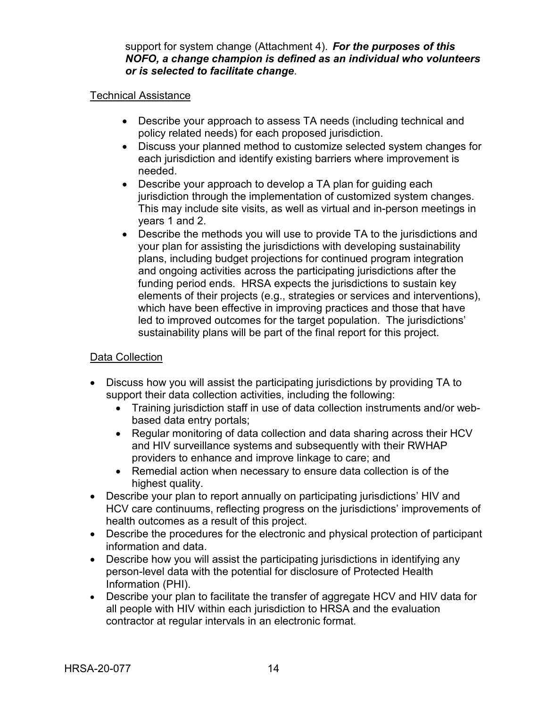support for system change (Attachment 4). *For the purposes of this NOFO, a change champion is defined as an individual who volunteers or is selected to facilitate change*.

#### Technical Assistance

- Describe your approach to assess TA needs (including technical and policy related needs) for each proposed jurisdiction.
- Discuss your planned method to customize selected system changes for each jurisdiction and identify existing barriers where improvement is needed.
- Describe your approach to develop a TA plan for guiding each jurisdiction through the implementation of customized system changes. This may include site visits, as well as virtual and in-person meetings in years 1 and 2.
- Describe the methods you will use to provide TA to the jurisdictions and your plan for assisting the jurisdictions with developing sustainability plans, including budget projections for continued program integration and ongoing activities across the participating jurisdictions after the funding period ends. HRSA expects the jurisdictions to sustain key elements of their projects (e.g., strategies or services and interventions), which have been effective in improving practices and those that have led to improved outcomes for the target population. The jurisdictions' sustainability plans will be part of the final report for this project.

#### Data Collection

- Discuss how you will assist the participating jurisdictions by providing TA to support their data collection activities, including the following:
	- Training jurisdiction staff in use of data collection instruments and/or webbased data entry portals;
	- Regular monitoring of data collection and data sharing across their HCV and HIV surveillance systems and subsequently with their RWHAP providers to enhance and improve linkage to care; and
	- Remedial action when necessary to ensure data collection is of the highest quality.
- Describe your plan to report annually on participating jurisdictions' HIV and HCV care continuums, reflecting progress on the jurisdictions' improvements of health outcomes as a result of this project.
- Describe the procedures for the electronic and physical protection of participant information and data.
- Describe how you will assist the participating jurisdictions in identifying any person-level data with the potential for disclosure of Protected Health Information (PHI).
- Describe your plan to facilitate the transfer of aggregate HCV and HIV data for all people with HIV within each jurisdiction to HRSA and the evaluation contractor at regular intervals in an electronic format.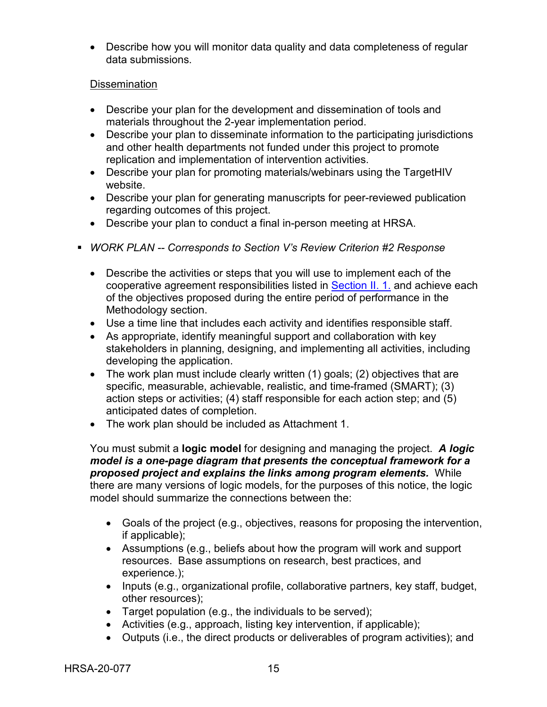• Describe how you will monitor data quality and data completeness of regular data submissions.

#### **Dissemination**

- Describe your plan for the development and dissemination of tools and materials throughout the 2-year implementation period.
- Describe your plan to disseminate information to the participating jurisdictions and other health departments not funded under this project to promote replication and implementation of intervention activities.
- Describe your plan for promoting materials/webinars using the TargetHIV website.
- Describe your plan for generating manuscripts for peer-reviewed publication regarding outcomes of this project.
- Describe your plan to conduct a final in-person meeting at HRSA.
- *WORK PLAN -- Corresponds to Section V's Review Criterion #2 Response*
	- Describe the activities or steps that you will use to implement each of the cooperative agreement responsibilities listed in [Section II. 1.](#page-9-0) and achieve each of the objectives proposed during the entire period of performance in the Methodology section.
	- Use a time line that includes each activity and identifies responsible staff.
	- As appropriate, identify meaningful support and collaboration with key stakeholders in planning, designing, and implementing all activities, including developing the application.
	- The work plan must include clearly written (1) goals; (2) objectives that are specific, measurable, achievable, realistic, and time-framed (SMART); (3) action steps or activities; (4) staff responsible for each action step; and (5) anticipated dates of completion.
	- The work plan should be included as Attachment 1.

You must submit a **logic model** for designing and managing the project. *A logic model is a one-page diagram that presents the conceptual framework for a proposed project and explains the links among program elements.* While there are many versions of logic models, for the purposes of this notice, the logic model should summarize the connections between the:

- Goals of the project (e.g., objectives, reasons for proposing the intervention, if applicable);
- Assumptions (e.g., beliefs about how the program will work and support resources. Base assumptions on research, best practices, and experience.);
- Inputs (e.g., organizational profile, collaborative partners, key staff, budget, other resources);
- Target population (e.g., the individuals to be served);
- Activities (e.g., approach, listing key intervention, if applicable);
- Outputs (i.e., the direct products or deliverables of program activities); and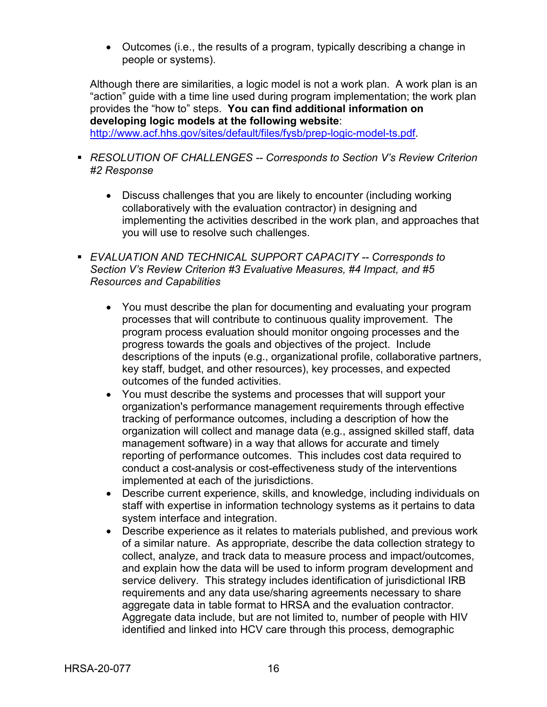• Outcomes (i.e., the results of a program, typically describing a change in people or systems).

Although there are similarities, a logic model is not a work plan. A work plan is an "action" guide with a time line used during program implementation; the work plan provides the "how to" steps. **You can find additional information on developing logic models at the following website**:

[http://www.acf.hhs.gov/sites/default/files/fysb/prep-logic-model-ts.pdf.](http://www.acf.hhs.gov/sites/default/files/fysb/prep-logic-model-ts.pdf)

- *RESOLUTION OF CHALLENGES -- Corresponds to Section V's Review Criterion #2 Response*
	- Discuss challenges that you are likely to encounter (including working collaboratively with the evaluation contractor) in designing and implementing the activities described in the work plan, and approaches that you will use to resolve such challenges.
- *EVALUATION AND TECHNICAL SUPPORT CAPACITY -- Corresponds to Section V's Review Criterion #3 Evaluative Measures, #4 Impact, and #5 Resources and Capabilities*
	- You must describe the plan for documenting and evaluating your program processes that will contribute to continuous quality improvement. The program process evaluation should monitor ongoing processes and the progress towards the goals and objectives of the project. Include descriptions of the inputs (e.g., organizational profile, collaborative partners, key staff, budget, and other resources), key processes, and expected outcomes of the funded activities.
	- You must describe the systems and processes that will support your organization's performance management requirements through effective tracking of performance outcomes, including a description of how the organization will collect and manage data (e.g., assigned skilled staff, data management software) in a way that allows for accurate and timely reporting of performance outcomes. This includes cost data required to conduct a cost-analysis or cost-effectiveness study of the interventions implemented at each of the jurisdictions.
	- Describe current experience, skills, and knowledge, including individuals on staff with expertise in information technology systems as it pertains to data system interface and integration.
	- Describe experience as it relates to materials published, and previous work of a similar nature. As appropriate, describe the data collection strategy to collect, analyze, and track data to measure process and impact/outcomes, and explain how the data will be used to inform program development and service delivery. This strategy includes identification of jurisdictional IRB requirements and any data use/sharing agreements necessary to share aggregate data in table format to HRSA and the evaluation contractor. Aggregate data include, but are not limited to, number of people with HIV identified and linked into HCV care through this process, demographic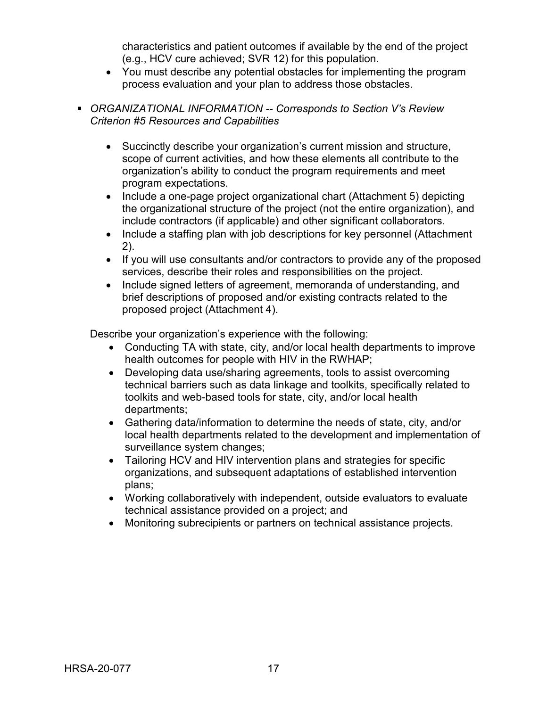characteristics and patient outcomes if available by the end of the project (e.g., HCV cure achieved; SVR 12) for this population.

- You must describe any potential obstacles for implementing the program process evaluation and your plan to address those obstacles.
- *ORGANIZATIONAL INFORMATION -- Corresponds to Section V's Review Criterion #5 Resources and Capabilities*
	- Succinctly describe your organization's current mission and structure, scope of current activities, and how these elements all contribute to the organization's ability to conduct the program requirements and meet program expectations.
	- Include a one-page project organizational chart (Attachment 5) depicting the organizational structure of the project (not the entire organization), and include contractors (if applicable) and other significant collaborators.
	- Include a staffing plan with job descriptions for key personnel (Attachment 2).
	- If you will use consultants and/or contractors to provide any of the proposed services, describe their roles and responsibilities on the project.
	- Include signed letters of agreement, memoranda of understanding, and brief descriptions of proposed and/or existing contracts related to the proposed project (Attachment 4).

Describe your organization's experience with the following:

- Conducting TA with state, city, and/or local health departments to improve health outcomes for people with HIV in the RWHAP;
- Developing data use/sharing agreements, tools to assist overcoming technical barriers such as data linkage and toolkits, specifically related to toolkits and web-based tools for state, city, and/or local health departments;
- Gathering data/information to determine the needs of state, city, and/or local health departments related to the development and implementation of surveillance system changes;
- Tailoring HCV and HIV intervention plans and strategies for specific organizations, and subsequent adaptations of established intervention plans;
- Working collaboratively with independent, outside evaluators to evaluate technical assistance provided on a project; and
- Monitoring subrecipients or partners on technical assistance projects.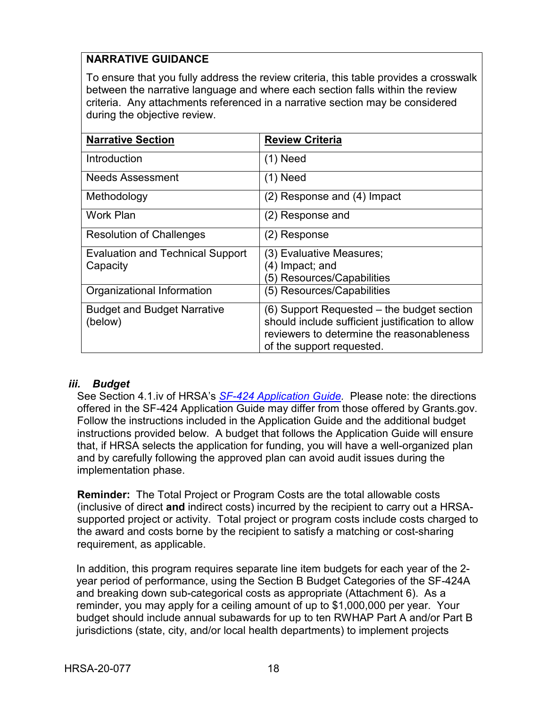## **NARRATIVE GUIDANCE**

To ensure that you fully address the review criteria, this table provides a crosswalk between the narrative language and where each section falls within the review criteria. Any attachments referenced in a narrative section may be considered during the objective review.

| <b>Narrative Section</b>                            | <b>Review Criteria</b>                                                                        |
|-----------------------------------------------------|-----------------------------------------------------------------------------------------------|
| Introduction                                        | $(1)$ Need                                                                                    |
| <b>Needs Assessment</b>                             | $(1)$ Need                                                                                    |
| Methodology                                         | (2) Response and (4) Impact                                                                   |
| <b>Work Plan</b>                                    | (2) Response and                                                                              |
| <b>Resolution of Challenges</b>                     | (2) Response                                                                                  |
| <b>Evaluation and Technical Support</b><br>Capacity | (3) Evaluative Measures;<br>(4) Impact; and                                                   |
|                                                     | 5) Resources/Capabilities                                                                     |
| Organizational Information                          | (5) Resources/Capabilities                                                                    |
| <b>Budget and Budget Narrative</b>                  | (6) Support Requested – the budget section                                                    |
| (below)                                             | should include sufficient justification to allow<br>reviewers to determine the reasonableness |
|                                                     | of the support requested.                                                                     |

#### <span id="page-21-0"></span>*iii. Budget*

See Section 4.1.iv of HRSA's *SF-424 [Application Guide.](http://www.hrsa.gov/grants/apply/applicationguide/sf424guide.pdf)* Please note: the directions offered in the SF-424 Application Guide may differ from those offered by Grants.gov. Follow the instructions included in the Application Guide and the additional budget instructions provided below. A budget that follows the Application Guide will ensure that, if HRSA selects the application for funding, you will have a well-organized plan and by carefully following the approved plan can avoid audit issues during the implementation phase.

**Reminder:** The Total Project or Program Costs are the total allowable costs (inclusive of direct **and** indirect costs) incurred by the recipient to carry out a HRSAsupported project or activity. Total project or program costs include costs charged to the award and costs borne by the recipient to satisfy a matching or cost-sharing requirement, as applicable.

In addition, this program requires separate line item budgets for each year of the 2 year period of performance, using the Section B Budget Categories of the SF-424A and breaking down sub-categorical costs as appropriate (Attachment 6). As a reminder, you may apply for a ceiling amount of up to \$1,000,000 per year. Your budget should include annual subawards for up to ten RWHAP Part A and/or Part B jurisdictions (state, city, and/or local health departments) to implement projects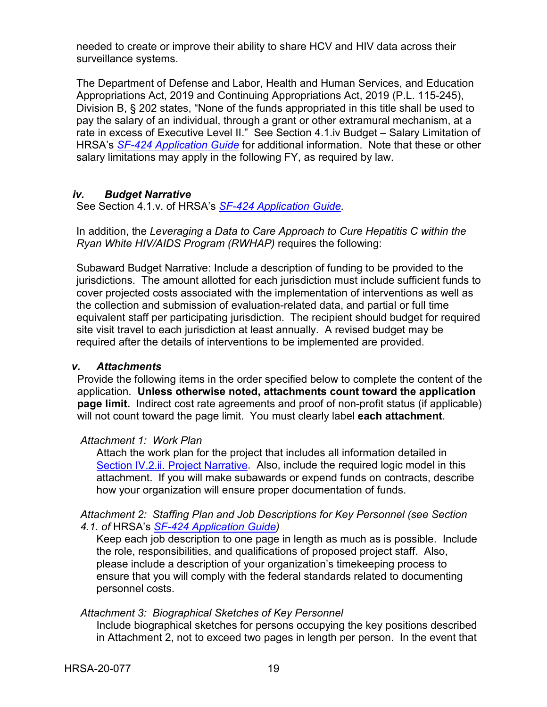needed to create or improve their ability to share HCV and HIV data across their surveillance systems.

The Department of Defense and Labor, Health and Human Services, and Education Appropriations Act, 2019 and Continuing Appropriations Act, 2019 (P.L. 115-245), Division B, § 202 states, "None of the funds appropriated in this title shall be used to pay the salary of an individual, through a grant or other extramural mechanism, at a rate in excess of Executive Level II." See Section 4.1.iv Budget – Salary Limitation of HRSA's *SF-424 [Application Guide](http://www.hrsa.gov/grants/apply/applicationguide/sf424guide.pdf)* for additional information. Note that these or other salary limitations may apply in the following FY, as required by law.

#### <span id="page-22-0"></span>*iv. Budget Narrative*

See Section 4.1.v. of HRSA's *SF-424 [Application Guide.](http://www.hrsa.gov/grants/apply/applicationguide/sf424guide.pdf)*

In addition, the *Leveraging a Data to Care Approach to Cure Hepatitis C within the Ryan White HIV/AIDS Program (RWHAP)* requires the following:

Subaward Budget Narrative: Include a description of funding to be provided to the jurisdictions. The amount allotted for each jurisdiction must include sufficient funds to cover projected costs associated with the implementation of interventions as well as the collection and submission of evaluation-related data, and partial or full time equivalent staff per participating jurisdiction. The recipient should budget for required site visit travel to each jurisdiction at least annually. A revised budget may be required after the details of interventions to be implemented are provided.

#### <span id="page-22-1"></span>*v. Attachments*

Provide the following items in the order specified below to complete the content of the application. **Unless otherwise noted, attachments count toward the application page limit.** Indirect cost rate agreements and proof of non-profit status (if applicable) will not count toward the page limit. You must clearly label **each attachment**.

#### *Attachment 1: Work Plan*

Attach the work plan for the project that includes all information detailed in [Section IV.2.ii. Project Narrative.](#page-14-1) Also, include the required logic model in this attachment. If you will make subawards or expend funds on contracts, describe how your organization will ensure proper documentation of funds.

#### *Attachment 2: Staffing Plan and Job Descriptions for Key Personnel (see Section 4.1. of* HRSA's *SF-424 [Application Guide\)](http://www.hrsa.gov/grants/apply/applicationguide/sf424guide.pdf)*

Keep each job description to one page in length as much as is possible. Include the role, responsibilities, and qualifications of proposed project staff. Also, please include a description of your organization's timekeeping process to ensure that you will comply with the federal standards related to documenting personnel costs.

#### *Attachment 3: Biographical Sketches of Key Personnel*

Include biographical sketches for persons occupying the key positions described in Attachment 2, not to exceed two pages in length per person. In the event that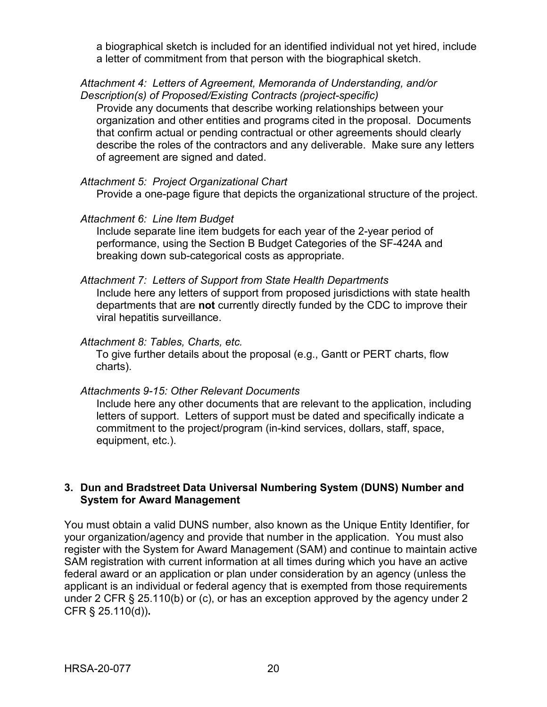a biographical sketch is included for an identified individual not yet hired, include a letter of commitment from that person with the biographical sketch.

#### *Attachment 4: Letters of Agreement, Memoranda of Understanding, and/or Description(s) of Proposed/Existing Contracts (project-specific)*

Provide any documents that describe working relationships between your organization and other entities and programs cited in the proposal. Documents that confirm actual or pending contractual or other agreements should clearly describe the roles of the contractors and any deliverable. Make sure any letters of agreement are signed and dated.

#### *Attachment 5: Project Organizational Chart*

Provide a one-page figure that depicts the organizational structure of the project.

#### *Attachment 6: Line Item Budget*

Include separate line item budgets for each year of the 2-year period of performance, using the Section B Budget Categories of the SF-424A and breaking down sub-categorical costs as appropriate.

#### *Attachment 7: Letters of Support from State Health Departments*

Include here any letters of support from proposed jurisdictions with state health departments that are **not** currently directly funded by the CDC to improve their viral hepatitis surveillance.

#### *Attachment 8: Tables, Charts, etc.*

To give further details about the proposal (e.g., Gantt or PERT charts, flow charts).

#### *Attachments 9-15: Other Relevant Documents*

Include here any other documents that are relevant to the application, including letters of support. Letters of support must be dated and specifically indicate a commitment to the project/program (in-kind services, dollars, staff, space, equipment, etc.).

#### <span id="page-23-0"></span>**3. Dun and Bradstreet Data Universal Numbering System (DUNS) Number and System for Award Management**

You must obtain a valid DUNS number, also known as the Unique Entity Identifier, for your organization/agency and provide that number in the application. You must also register with the System for Award Management (SAM) and continue to maintain active SAM registration with current information at all times during which you have an active federal award or an application or plan under consideration by an agency (unless the applicant is an individual or federal agency that is exempted from those requirements under 2 CFR § 25.110(b) or (c), or has an exception approved by the agency under 2 CFR § 25.110(d))**.**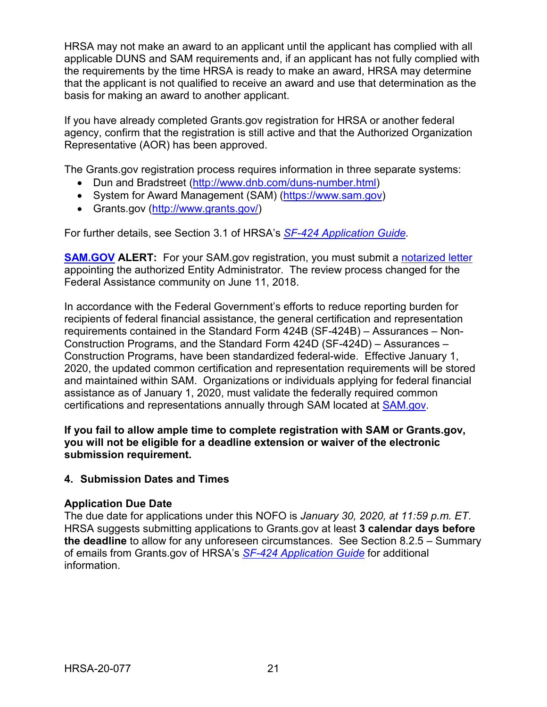HRSA may not make an award to an applicant until the applicant has complied with all applicable DUNS and SAM requirements and, if an applicant has not fully complied with the requirements by the time HRSA is ready to make an award, HRSA may determine that the applicant is not qualified to receive an award and use that determination as the basis for making an award to another applicant.

If you have already completed Grants.gov registration for HRSA or another federal agency, confirm that the registration is still active and that the Authorized Organization Representative (AOR) has been approved.

The Grants.gov registration process requires information in three separate systems:

- Dun and Bradstreet [\(http://www.dnb.com/duns-number.html\)](http://www.dnb.com/duns-number.html)
- System for Award Management (SAM) [\(https://www.sam.gov\)](https://www.sam.gov/)
- Grants.gov [\(http://www.grants.gov/\)](http://www.grants.gov/)

For further details, see Section 3.1 of HRSA's *SF-424 [Application Guide.](http://www.hrsa.gov/grants/apply/applicationguide/sf424guide.pdf)*

**[SAM.GOV](http://sam.gov/) ALERT:** For your SAM.gov registration, you must submit a [notarized letter](https://www.fsd.gov/fsd-gov/answer.do?sysparm_kbid=d2e67885db0d5f00b3257d321f96194b&sysparm_search=kb0013183) appointing the authorized Entity Administrator. The review process changed for the Federal Assistance community on June 11, 2018.

In accordance with the Federal Government's efforts to reduce reporting burden for recipients of federal financial assistance, the general certification and representation requirements contained in the Standard Form 424B (SF-424B) – Assurances – Non-Construction Programs, and the Standard Form 424D (SF-424D) – Assurances – Construction Programs, have been standardized federal-wide. Effective January 1, 2020, the updated common certification and representation requirements will be stored and maintained within SAM. Organizations or individuals applying for federal financial assistance as of January 1, 2020, must validate the federally required common certifications and representations annually through SAM located at [SAM.gov.](https://www.sam.gov/)

**If you fail to allow ample time to complete registration with SAM or Grants.gov, you will not be eligible for a deadline extension or waiver of the electronic submission requirement.**

#### <span id="page-24-0"></span>**4. Submission Dates and Times**

#### **Application Due Date**

The due date for applications under this NOFO is *January 30, 2020, at 11:59 p.m. ET*. HRSA suggests submitting applications to Grants.gov at least **3 calendar days before the deadline** to allow for any unforeseen circumstances. See Section 8.2.5 – Summary of emails from Grants.gov of HRSA's *[SF-424 Application Guide](http://www.hrsa.gov/grants/apply/applicationguide/sf424guide.pdf)* for additional information.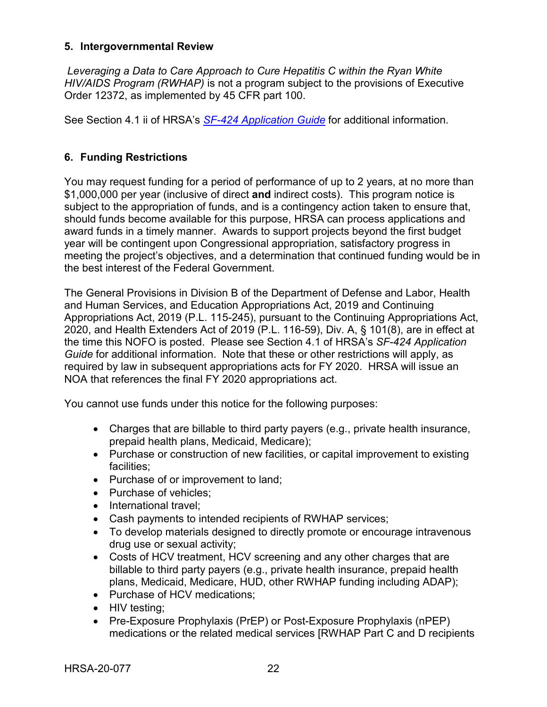#### <span id="page-25-0"></span>**5. Intergovernmental Review**

*Leveraging a Data to Care Approach to Cure Hepatitis C within the Ryan White HIV/AIDS Program (RWHAP)* is not a program subject to the provisions of Executive Order 12372, as implemented by 45 CFR part 100.

See Section 4.1 ii of HRSA's *SF-424 [Application Guide](http://www.hrsa.gov/grants/apply/applicationguide/sf424guide.pdf)* for additional information.

### <span id="page-25-1"></span>**6. Funding Restrictions**

You may request funding for a period of performance of up to 2 years, at no more than \$1,000,000 per year (inclusive of direct **and** indirect costs). This program notice is subject to the appropriation of funds, and is a contingency action taken to ensure that, should funds become available for this purpose, HRSA can process applications and award funds in a timely manner. Awards to support projects beyond the first budget year will be contingent upon Congressional appropriation, satisfactory progress in meeting the project's objectives, and a determination that continued funding would be in the best interest of the Federal Government.

The General Provisions in Division B of the Department of Defense and Labor, Health and Human Services, and Education Appropriations Act, 2019 and Continuing Appropriations Act, 2019 (P.L. 115-245), pursuant to the Continuing Appropriations Act, 2020, and Health Extenders Act of 2019 (P.L. 116-59), Div. A, § 101(8), are in effect at the time this NOFO is posted. Please see Section 4.1 of HRSA's *SF-424 Application Guide* for additional information. Note that these or other restrictions will apply, as required by law in subsequent appropriations acts for FY 2020. HRSA will issue an NOA that references the final FY 2020 appropriations act.

You cannot use funds under this notice for the following purposes:

- Charges that are billable to third party payers (e.g., private health insurance, prepaid health plans, Medicaid, Medicare);
- Purchase or construction of new facilities, or capital improvement to existing facilities;
- Purchase of or improvement to land;
- Purchase of vehicles;
- International travel:
- Cash payments to intended recipients of RWHAP services;
- To develop materials designed to directly promote or encourage intravenous drug use or sexual activity;
- Costs of HCV treatment, HCV screening and any other charges that are billable to third party payers (e.g., private health insurance, prepaid health plans, Medicaid, Medicare, HUD, other RWHAP funding including ADAP);
- Purchase of HCV medications;
- HIV testing;
- Pre-Exposure Prophylaxis (PrEP) or Post-Exposure Prophylaxis (nPEP) medications or the related medical services [RWHAP Part C and D recipients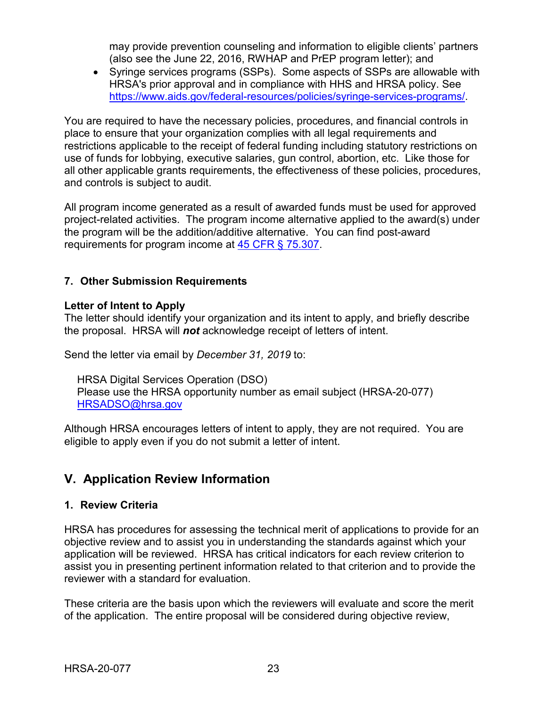may provide prevention counseling and information to eligible clients' partners (also see the June 22, 2016, RWHAP and PrEP program letter); and

• Syringe services programs (SSPs). Some aspects of SSPs are allowable with HRSA's prior approval and in compliance with HHS and HRSA policy. See [https://www.aids.gov/federal-resources/policies/syringe-services-programs/.](https://www.aids.gov/federal-resources/policies/syringe-services-programs/)

You are required to have the necessary policies, procedures, and financial controls in place to ensure that your organization complies with all legal requirements and restrictions applicable to the receipt of federal funding including statutory restrictions on use of funds for lobbying, executive salaries, gun control, abortion, etc. Like those for all other applicable grants requirements, the effectiveness of these policies, procedures, and controls is subject to audit.

All program income generated as a result of awarded funds must be used for approved project-related activities. The program income alternative applied to the award(s) under the program will be the addition/additive alternative. You can find post-award requirements for program income at [45 CFR § 75.307.](https://www.ecfr.gov/cgi-bin/retrieveECFR?gp=1&SID=4d52364ec83fab994c665943dadf9cf7&ty=HTML&h=L&r=PART&n=pt45.1.75)

### <span id="page-26-0"></span>**7. Other Submission Requirements**

#### **Letter of Intent to Apply**

The letter should identify your organization and its intent to apply, and briefly describe the proposal. HRSA will *not* acknowledge receipt of letters of intent.

Send the letter via email by *December 31, 2019* to:

HRSA Digital Services Operation (DSO) Please use the HRSA opportunity number as email subject (HRSA-20-077) [HRSADSO@hrsa.gov](mailto:HRSADSO@hrsa.gov)

Although HRSA encourages letters of intent to apply, they are not required. You are eligible to apply even if you do not submit a letter of intent.

## <span id="page-26-1"></span>**V. Application Review Information**

#### <span id="page-26-2"></span>**1. Review Criteria**

HRSA has procedures for assessing the technical merit of applications to provide for an objective review and to assist you in understanding the standards against which your application will be reviewed. HRSA has critical indicators for each review criterion to assist you in presenting pertinent information related to that criterion and to provide the reviewer with a standard for evaluation.

These criteria are the basis upon which the reviewers will evaluate and score the merit of the application. The entire proposal will be considered during objective review,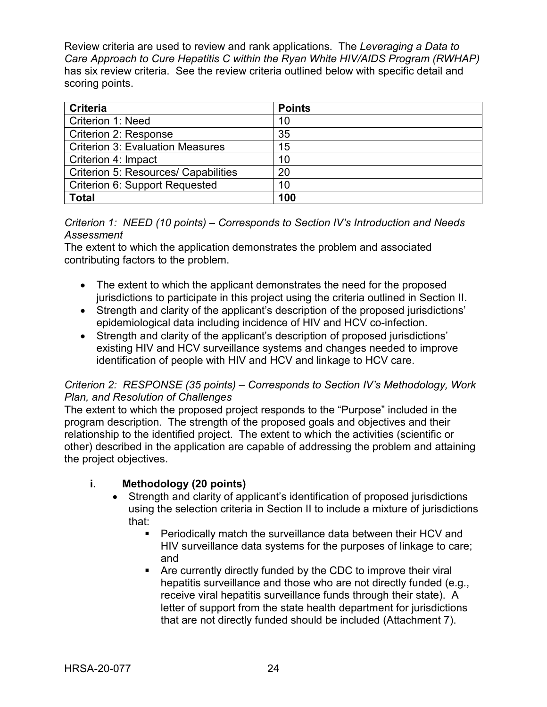Review criteria are used to review and rank applications. The *Leveraging a Data to Care Approach to Cure Hepatitis C within the Ryan White HIV/AIDS Program (RWHAP)* has six review criteria. See the review criteria outlined below with specific detail and scoring points.

| <b>Criteria</b>                             | <b>Points</b> |
|---------------------------------------------|---------------|
| <b>Criterion 1: Need</b>                    | 10            |
| <b>Criterion 2: Response</b>                | 35            |
| <b>Criterion 3: Evaluation Measures</b>     | 15            |
| Criterion 4: Impact                         | 10            |
| <b>Criterion 5: Resources/ Capabilities</b> | 20            |
| <b>Criterion 6: Support Requested</b>       | 10            |
| <b>Total</b>                                | 100           |

#### *Criterion 1: NEED (10 points) – Corresponds to Section IV's Introduction and Needs Assessment*

The extent to which the application demonstrates the problem and associated contributing factors to the problem.

- The extent to which the applicant demonstrates the need for the proposed jurisdictions to participate in this project using the criteria outlined in Section II.
- Strength and clarity of the applicant's description of the proposed jurisdictions' epidemiological data including incidence of HIV and HCV co-infection.
- Strength and clarity of the applicant's description of proposed jurisdictions' existing HIV and HCV surveillance systems and changes needed to improve identification of people with HIV and HCV and linkage to HCV care.

#### *Criterion 2: RESPONSE (35 points) – Corresponds to Section IV's Methodology, Work Plan, and Resolution of Challenges*

The extent to which the proposed project responds to the "Purpose" included in the program description. The strength of the proposed goals and objectives and their relationship to the identified project. The extent to which the activities (scientific or other) described in the application are capable of addressing the problem and attaining the project objectives.

## **i. Methodology (20 points)**

- Strength and clarity of applicant's identification of proposed jurisdictions using the selection criteria in Section II to include a mixture of jurisdictions that:
	- Periodically match the surveillance data between their HCV and HIV surveillance data systems for the purposes of linkage to care; and
	- Are currently directly funded by the CDC to improve their viral hepatitis surveillance and those who are not directly funded (e.g., receive viral hepatitis surveillance funds through their state). A letter of support from the state health department for jurisdictions that are not directly funded should be included (Attachment 7).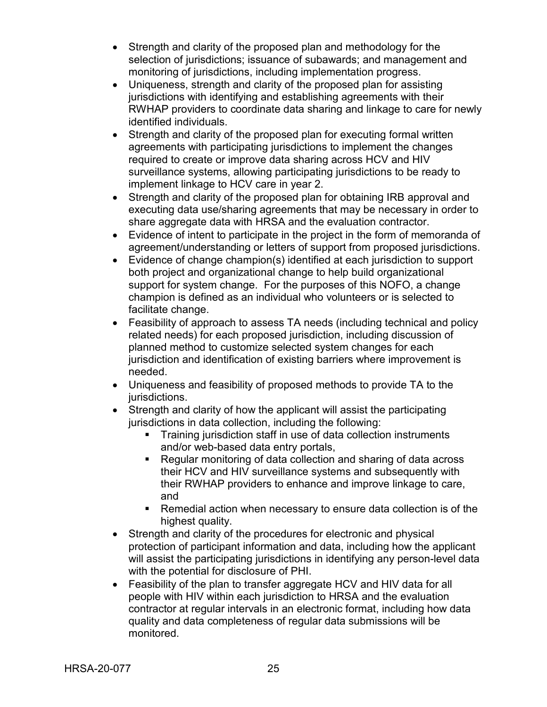- Strength and clarity of the proposed plan and methodology for the selection of jurisdictions; issuance of subawards; and management and monitoring of jurisdictions, including implementation progress.
- Uniqueness, strength and clarity of the proposed plan for assisting jurisdictions with identifying and establishing agreements with their RWHAP providers to coordinate data sharing and linkage to care for newly identified individuals.
- Strength and clarity of the proposed plan for executing formal written agreements with participating jurisdictions to implement the changes required to create or improve data sharing across HCV and HIV surveillance systems, allowing participating jurisdictions to be ready to implement linkage to HCV care in year 2.
- Strength and clarity of the proposed plan for obtaining IRB approval and executing data use/sharing agreements that may be necessary in order to share aggregate data with HRSA and the evaluation contractor.
- Evidence of intent to participate in the project in the form of memoranda of agreement/understanding or letters of support from proposed jurisdictions.
- Evidence of change champion(s) identified at each jurisdiction to support both project and organizational change to help build organizational support for system change. For the purposes of this NOFO, a change champion is defined as an individual who volunteers or is selected to facilitate change.
- Feasibility of approach to assess TA needs (including technical and policy related needs) for each proposed jurisdiction, including discussion of planned method to customize selected system changes for each jurisdiction and identification of existing barriers where improvement is needed.
- Uniqueness and feasibility of proposed methods to provide TA to the jurisdictions.
- Strength and clarity of how the applicant will assist the participating jurisdictions in data collection, including the following:
	- **Training jurisdiction staff in use of data collection instruments** and/or web-based data entry portals,
	- Regular monitoring of data collection and sharing of data across their HCV and HIV surveillance systems and subsequently with their RWHAP providers to enhance and improve linkage to care, and
	- Remedial action when necessary to ensure data collection is of the highest quality.
- Strength and clarity of the procedures for electronic and physical protection of participant information and data, including how the applicant will assist the participating jurisdictions in identifying any person-level data with the potential for disclosure of PHI.
- Feasibility of the plan to transfer aggregate HCV and HIV data for all people with HIV within each jurisdiction to HRSA and the evaluation contractor at regular intervals in an electronic format, including how data quality and data completeness of regular data submissions will be monitored.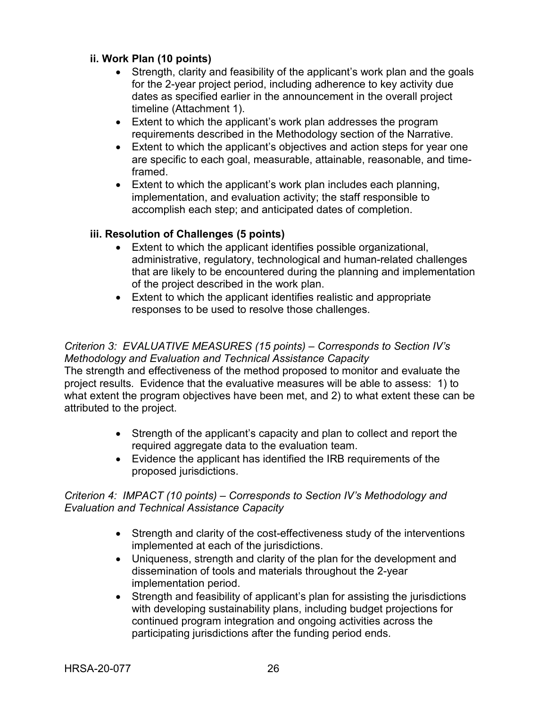#### **ii. Work Plan (10 points)**

- Strength, clarity and feasibility of the applicant's work plan and the goals for the 2-year project period, including adherence to key activity due dates as specified earlier in the announcement in the overall project timeline (Attachment 1).
- Extent to which the applicant's work plan addresses the program requirements described in the Methodology section of the Narrative.
- Extent to which the applicant's objectives and action steps for year one are specific to each goal, measurable, attainable, reasonable, and timeframed.
- Extent to which the applicant's work plan includes each planning, implementation, and evaluation activity; the staff responsible to accomplish each step; and anticipated dates of completion.

#### **iii. Resolution of Challenges (5 points)**

- Extent to which the applicant identifies possible organizational, administrative, regulatory, technological and human-related challenges that are likely to be encountered during the planning and implementation of the project described in the work plan.
- Extent to which the applicant identifies realistic and appropriate responses to be used to resolve those challenges.

#### *Criterion 3: EVALUATIVE MEASURES (15 points) – Corresponds to Section IV's Methodology and Evaluation and Technical Assistance Capacity*

The strength and effectiveness of the method proposed to monitor and evaluate the project results. Evidence that the evaluative measures will be able to assess: 1) to what extent the program objectives have been met, and 2) to what extent these can be attributed to the project.

- Strength of the applicant's capacity and plan to collect and report the required aggregate data to the evaluation team.
- Evidence the applicant has identified the IRB requirements of the proposed jurisdictions.

#### *Criterion 4: IMPACT (10 points) – Corresponds to Section IV's Methodology and Evaluation and Technical Assistance Capacity*

- Strength and clarity of the cost-effectiveness study of the interventions implemented at each of the jurisdictions.
- Uniqueness, strength and clarity of the plan for the development and dissemination of tools and materials throughout the 2-year implementation period.
- Strength and feasibility of applicant's plan for assisting the jurisdictions with developing sustainability plans, including budget projections for continued program integration and ongoing activities across the participating jurisdictions after the funding period ends.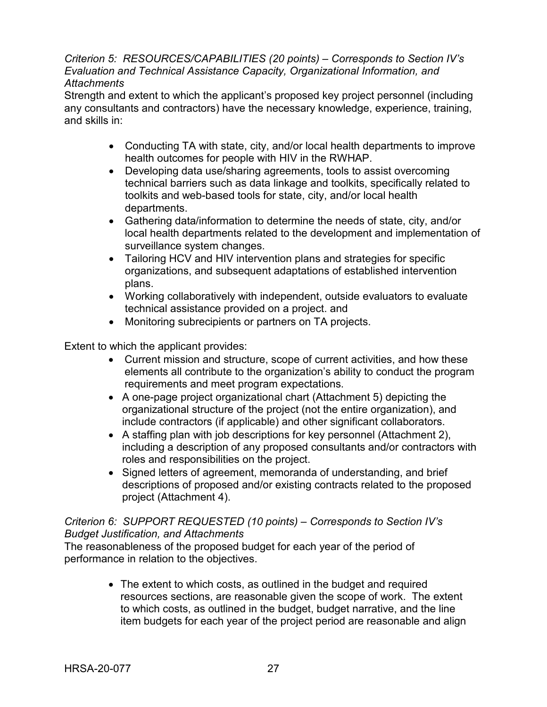*Criterion 5: RESOURCES/CAPABILITIES (20 points) – Corresponds to Section IV's Evaluation and Technical Assistance Capacity, Organizational Information, and Attachments*

Strength and extent to which the applicant's proposed key project personnel (including any consultants and contractors) have the necessary knowledge, experience, training, and skills in:

- Conducting TA with state, city, and/or local health departments to improve health outcomes for people with HIV in the RWHAP.
- Developing data use/sharing agreements, tools to assist overcoming technical barriers such as data linkage and toolkits, specifically related to toolkits and web-based tools for state, city, and/or local health departments.
- Gathering data/information to determine the needs of state, city, and/or local health departments related to the development and implementation of surveillance system changes.
- Tailoring HCV and HIV intervention plans and strategies for specific organizations, and subsequent adaptations of established intervention plans.
- Working collaboratively with independent, outside evaluators to evaluate technical assistance provided on a project. and
- Monitoring subrecipients or partners on TA projects.

Extent to which the applicant provides:

- Current mission and structure, scope of current activities, and how these elements all contribute to the organization's ability to conduct the program requirements and meet program expectations.
- A one-page project organizational chart (Attachment 5) depicting the organizational structure of the project (not the entire organization), and include contractors (if applicable) and other significant collaborators.
- A staffing plan with job descriptions for key personnel (Attachment 2), including a description of any proposed consultants and/or contractors with roles and responsibilities on the project.
- Signed letters of agreement, memoranda of understanding, and brief descriptions of proposed and/or existing contracts related to the proposed project (Attachment 4).

#### *Criterion 6: SUPPORT REQUESTED (10 points) – Corresponds to Section IV's Budget Justification, and Attachments*

The reasonableness of the proposed budget for each year of the period of performance in relation to the objectives.

> • The extent to which costs, as outlined in the budget and required resources sections, are reasonable given the scope of work. The extent to which costs, as outlined in the budget, budget narrative, and the line item budgets for each year of the project period are reasonable and align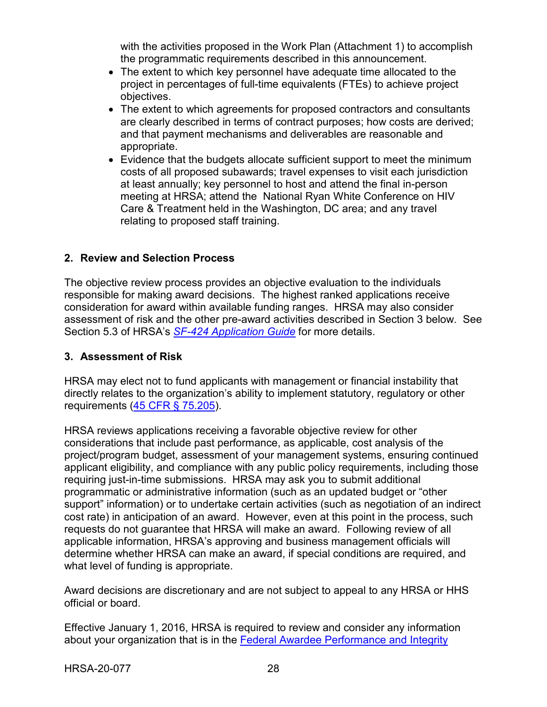with the activities proposed in the Work Plan (Attachment 1) to accomplish the programmatic requirements described in this announcement.

- The extent to which key personnel have adequate time allocated to the project in percentages of full-time equivalents (FTEs) to achieve project objectives.
- The extent to which agreements for proposed contractors and consultants are clearly described in terms of contract purposes; how costs are derived; and that payment mechanisms and deliverables are reasonable and appropriate.
- Evidence that the budgets allocate sufficient support to meet the minimum costs of all proposed subawards; travel expenses to visit each jurisdiction at least annually; key personnel to host and attend the final in-person meeting at HRSA; attend the National Ryan White Conference on HIV Care & Treatment held in the Washington, DC area; and any travel relating to proposed staff training.

#### <span id="page-31-0"></span>**2. Review and Selection Process**

The objective review process provides an objective evaluation to the individuals responsible for making award decisions. The highest ranked applications receive consideration for award within available funding ranges. HRSA may also consider assessment of risk and the other pre-award activities described in Section 3 below. See Section 5.3 of HRSA's *SF-424 [Application Guide](http://www.hrsa.gov/grants/apply/applicationguide/sf424guide.pdf)* for more details.

#### <span id="page-31-1"></span>**3. Assessment of Risk**

HRSA may elect not to fund applicants with management or financial instability that directly relates to the organization's ability to implement statutory, regulatory or other requirements [\(45 CFR § 75.205\)](https://www.ecfr.gov/cgi-bin/retrieveECFR?gp=1&SID=4d52364ec83fab994c665943dadf9cf7&ty=HTML&h=L&r=PART&n=pt45.1.75).

HRSA reviews applications receiving a favorable objective review for other considerations that include past performance, as applicable, cost analysis of the project/program budget, assessment of your management systems, ensuring continued applicant eligibility, and compliance with any public policy requirements, including those requiring just-in-time submissions. HRSA may ask you to submit additional programmatic or administrative information (such as an updated budget or "other support" information) or to undertake certain activities (such as negotiation of an indirect cost rate) in anticipation of an award. However, even at this point in the process, such requests do not guarantee that HRSA will make an award. Following review of all applicable information, HRSA's approving and business management officials will determine whether HRSA can make an award, if special conditions are required, and what level of funding is appropriate.

Award decisions are discretionary and are not subject to appeal to any HRSA or HHS official or board.

Effective January 1, 2016, HRSA is required to review and consider any information about your organization that is in the [Federal Awardee Performance and Integrity](https://www.fapiis.gov/)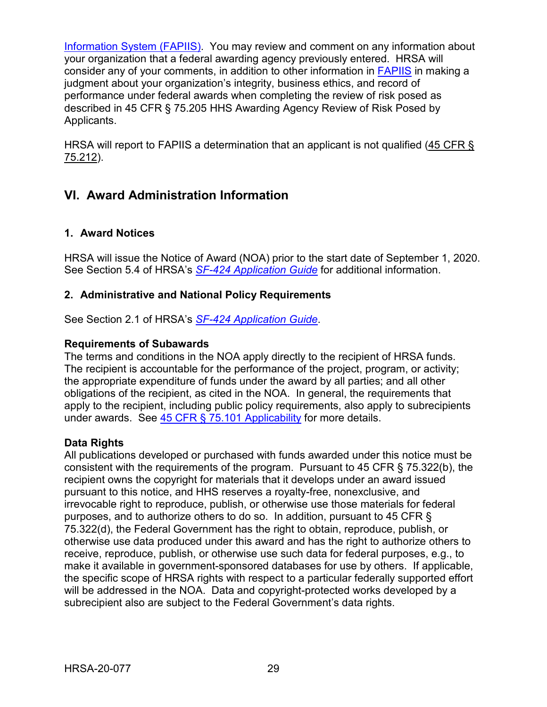[Information System \(FAPIIS\).](https://www.fapiis.gov/) You may review and comment on any information about your organization that a federal awarding agency previously entered. HRSA will consider any of your comments, in addition to other information in [FAPIIS](https://www.fapiis.gov/) in making a judgment about your organization's integrity, business ethics, and record of performance under federal awards when completing the review of risk posed as described in 45 CFR § 75.205 HHS Awarding Agency Review of Risk Posed by Applicants.

HRSA will report to FAPIIS a determination that an applicant is not qualified [\(45 CFR §](https://www.ecfr.gov/cgi-bin/retrieveECFR?gp=1&SID=4d52364ec83fab994c665943dadf9cf7&ty=HTML&h=L&r=PART&n=pt45.1.75)  [75.212\)](https://www.ecfr.gov/cgi-bin/retrieveECFR?gp=1&SID=4d52364ec83fab994c665943dadf9cf7&ty=HTML&h=L&r=PART&n=pt45.1.75).

## <span id="page-32-0"></span>**VI. Award Administration Information**

### <span id="page-32-1"></span>**1. Award Notices**

HRSA will issue the Notice of Award (NOA) prior to the start date of September 1, 2020. See Section 5.4 of HRSA's *SF-424 [Application Guide](http://www.hrsa.gov/grants/apply/applicationguide/sf424guide.pdf)* for additional information.

#### <span id="page-32-2"></span>**2. Administrative and National Policy Requirements**

See Section 2.1 of HRSA's *SF-424 [Application Guide](http://www.hrsa.gov/grants/apply/applicationguide/sf424guide.pdf)*.

#### **Requirements of Subawards**

The terms and conditions in the NOA apply directly to the recipient of HRSA funds. The recipient is accountable for the performance of the project, program, or activity; the appropriate expenditure of funds under the award by all parties; and all other obligations of the recipient, as cited in the NOA. In general, the requirements that apply to the recipient, including public policy requirements, also apply to subrecipients under awards. See [45 CFR § 75.101 Applicability](https://www.ecfr.gov/cgi-bin/retrieveECFR?gp=1&SID=4d52364ec83fab994c665943dadf9cf7&ty=HTML&h=L&r=PART&n=pt45.1.75) for more details.

#### **Data Rights**

All publications developed or purchased with funds awarded under this notice must be consistent with the requirements of the program. Pursuant to 45 CFR  $\S$  75.322(b), the recipient owns the copyright for materials that it develops under an award issued pursuant to this notice, and HHS reserves a royalty-free, nonexclusive, and irrevocable right to reproduce, publish, or otherwise use those materials for federal purposes, and to authorize others to do so. In addition, pursuant to 45 CFR § 75.322(d), the Federal Government has the right to obtain, reproduce, publish, or otherwise use data produced under this award and has the right to authorize others to receive, reproduce, publish, or otherwise use such data for federal purposes, e.g., to make it available in government-sponsored databases for use by others. If applicable, the specific scope of HRSA rights with respect to a particular federally supported effort will be addressed in the NOA. Data and copyright-protected works developed by a subrecipient also are subject to the Federal Government's data rights.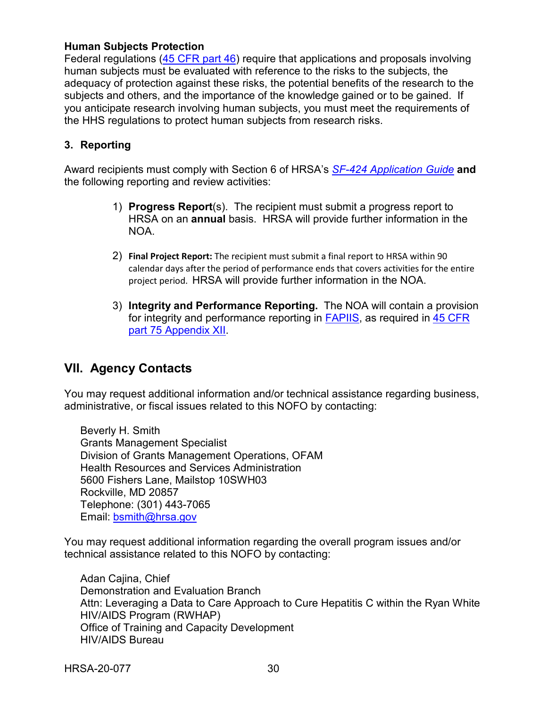#### **Human Subjects Protection**

Federal regulations [\(45 CFR part 46\)](https://www.ecfr.gov/cgi-bin/text-idx?SID=5ec405e535881de66e6f153cdf4cdcf8&mc=true&node=pt45.1.46&rgn=div5) require that applications and proposals involving human subjects must be evaluated with reference to the risks to the subjects, the adequacy of protection against these risks, the potential benefits of the research to the subjects and others, and the importance of the knowledge gained or to be gained. If you anticipate research involving human subjects, you must meet the requirements of the HHS regulations to protect human subjects from research risks.

#### <span id="page-33-0"></span>**3. Reporting**

Award recipients must comply with Section 6 of HRSA's *SF-424 [Application Guide](http://www.hrsa.gov/grants/apply/applicationguide/sf424guide.pdf)* **and** the following reporting and review activities:

- 1) **Progress Report**(s). The recipient must submit a progress report to HRSA on an **annual** basis. HRSA will provide further information in the NOA.
- 2) **Final Project Report:** The recipient must submit a final report to HRSA within 90 calendar days after the period of performance ends that covers activities for the entire project period. HRSA will provide further information in the NOA.
- 3) **Integrity and Performance Reporting.** The NOA will contain a provision for integrity and performance reporting in [FAPIIS,](https://www.fapiis.gov/) as required in [45 CFR](https://www.ecfr.gov/cgi-bin/retrieveECFR?gp=1&SID=4d52364ec83fab994c665943dadf9cf7&ty=HTML&h=L&r=PART&n=pt45.1.75)  [part 75 Appendix XII.](https://www.ecfr.gov/cgi-bin/retrieveECFR?gp=1&SID=4d52364ec83fab994c665943dadf9cf7&ty=HTML&h=L&r=PART&n=pt45.1.75)

## <span id="page-33-1"></span>**VII. Agency Contacts**

You may request additional information and/or technical assistance regarding business, administrative, or fiscal issues related to this NOFO by contacting:

Beverly H. Smith Grants Management Specialist Division of Grants Management Operations, OFAM Health Resources and Services Administration 5600 Fishers Lane, Mailstop 10SWH03 Rockville, MD 20857 Telephone: (301) 443-7065 Email: [bsmith@hrsa.gov](mailto:bsmith@hrsa.gov)

You may request additional information regarding the overall program issues and/or technical assistance related to this NOFO by contacting:

Adan Cajina, Chief Demonstration and Evaluation Branch Attn: Leveraging a Data to Care Approach to Cure Hepatitis C within the Ryan White HIV/AIDS Program (RWHAP) Office of Training and Capacity Development HIV/AIDS Bureau

HRSA-20-077 30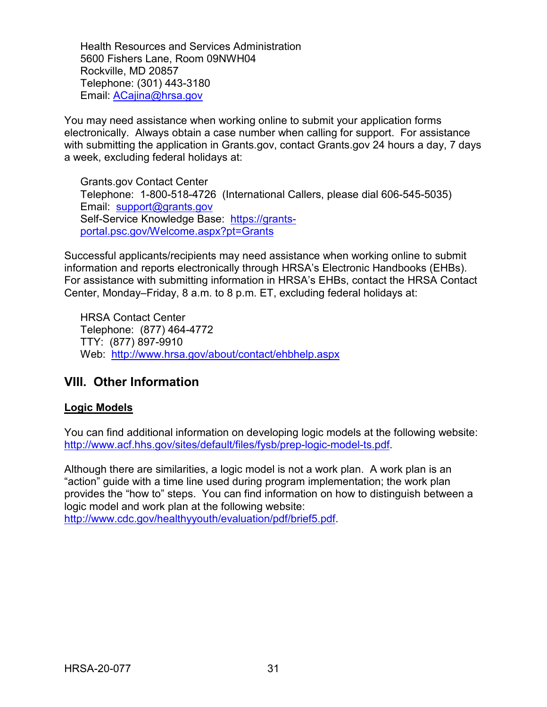Health Resources and Services Administration 5600 Fishers Lane, Room 09NWH04 Rockville, MD 20857 Telephone: (301) 443-3180 Email: [ACajina@hrsa.gov](mailto:ACajina@hrsa.gov)

You may need assistance when working online to submit your application forms electronically. Always obtain a case number when calling for support. For assistance with submitting the application in Grants.gov, contact Grants.gov 24 hours a day, 7 days a week, excluding federal holidays at:

Grants.gov Contact Center Telephone: 1-800-518-4726 (International Callers, please dial 606-545-5035) Email: [support@grants.gov](mailto:support@grants.gov) Self-Service Knowledge Base: [https://grants](https://grants-portal.psc.gov/Welcome.aspx?pt=Grants)[portal.psc.gov/Welcome.aspx?pt=Grants](https://grants-portal.psc.gov/Welcome.aspx?pt=Grants)

Successful applicants/recipients may need assistance when working online to submit information and reports electronically through HRSA's Electronic Handbooks (EHBs). For assistance with submitting information in HRSA's EHBs, contact the HRSA Contact Center, Monday–Friday, 8 a.m. to 8 p.m. ET, excluding federal holidays at:

HRSA Contact Center Telephone: (877) 464-4772 TTY: (877) 897-9910 Web: <http://www.hrsa.gov/about/contact/ehbhelp.aspx>

## <span id="page-34-0"></span>**VIII. Other Information**

#### **Logic Models**

You can find additional information on developing logic models at the following website: [http://www.acf.hhs.gov/sites/default/files/fysb/prep-logic-model-ts.pdf.](http://www.acf.hhs.gov/sites/default/files/fysb/prep-logic-model-ts.pdf)

Although there are similarities, a logic model is not a work plan. A work plan is an "action" guide with a time line used during program implementation; the work plan provides the "how to" steps. You can find information on how to distinguish between a logic model and work plan at the following website: [http://www.cdc.gov/healthyyouth/evaluation/pdf/brief5.pdf.](http://www.cdc.gov/healthyyouth/evaluation/pdf/brief5.pdf)